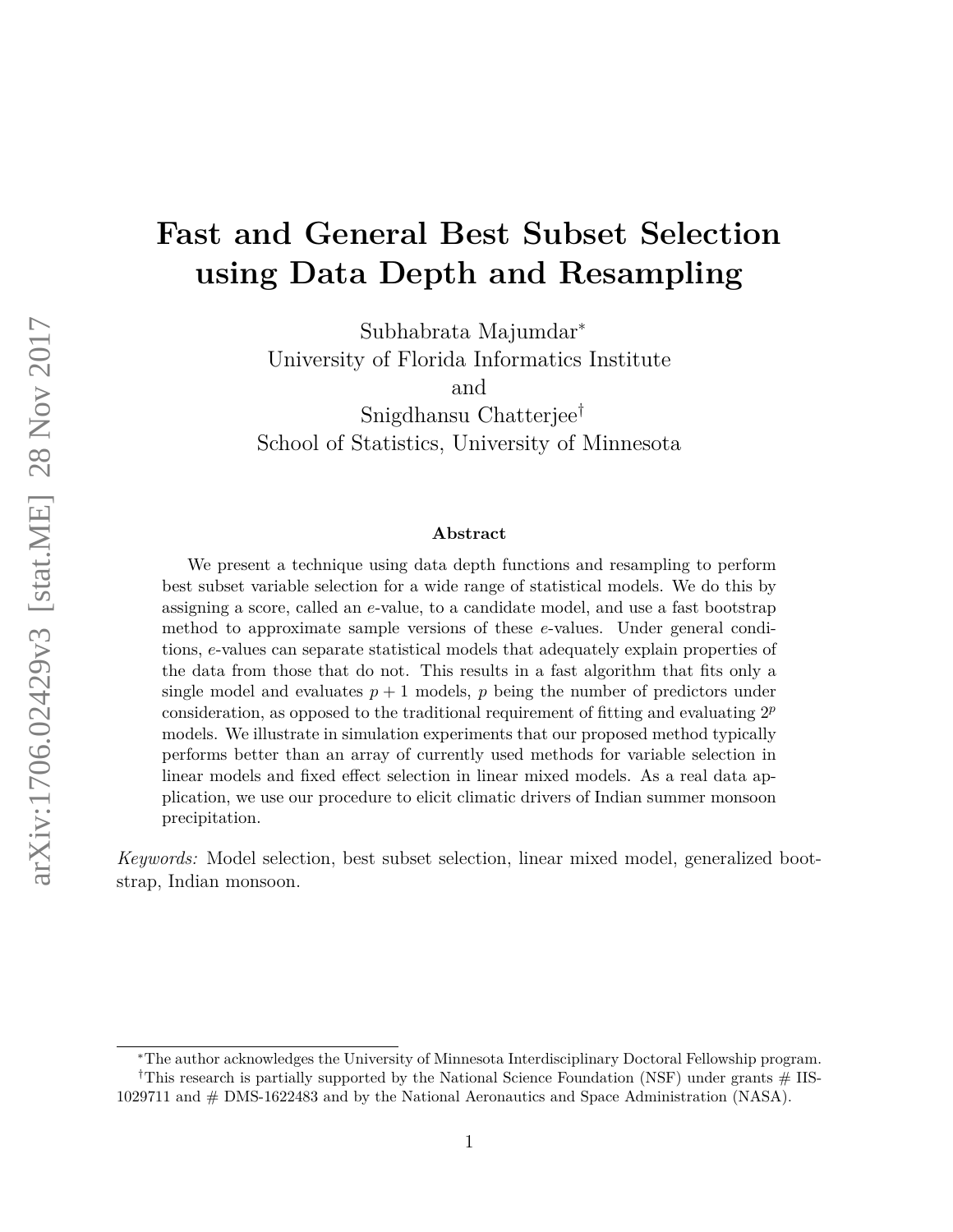# **Fast and General Best Subset Selection using Data Depth and Resampling**

Subhabrata Majumdar<sup>∗</sup> University of Florida Informatics Institute and Snigdhansu Chatterjee†

School of Statistics, University of Minnesota

#### **Abstract**

We present a technique using data depth functions and resampling to perform best subset variable selection for a wide range of statistical models. We do this by assigning a score, called an *e*-value, to a candidate model, and use a fast bootstrap method to approximate sample versions of these *e*-values. Under general conditions, *e*-values can separate statistical models that adequately explain properties of the data from those that do not. This results in a fast algorithm that fits only a single model and evaluates  $p + 1$  models,  $p$  being the number of predictors under consideration, as opposed to the traditional requirement of fitting and evaluating 2*<sup>p</sup>* models. We illustrate in simulation experiments that our proposed method typically performs better than an array of currently used methods for variable selection in linear models and fixed effect selection in linear mixed models. As a real data application, we use our procedure to elicit climatic drivers of Indian summer monsoon precipitation.

*Keywords:* Model selection, best subset selection, linear mixed model, generalized bootstrap, Indian monsoon.

<sup>∗</sup>The author acknowledges the University of Minnesota Interdisciplinary Doctoral Fellowship program. <sup>†</sup>This research is partially supported by the National Science Foundation (NSF) under grants  $#$  IIS-

<sup>1029711</sup> and # DMS-1622483 and by the National Aeronautics and Space Administration (NASA).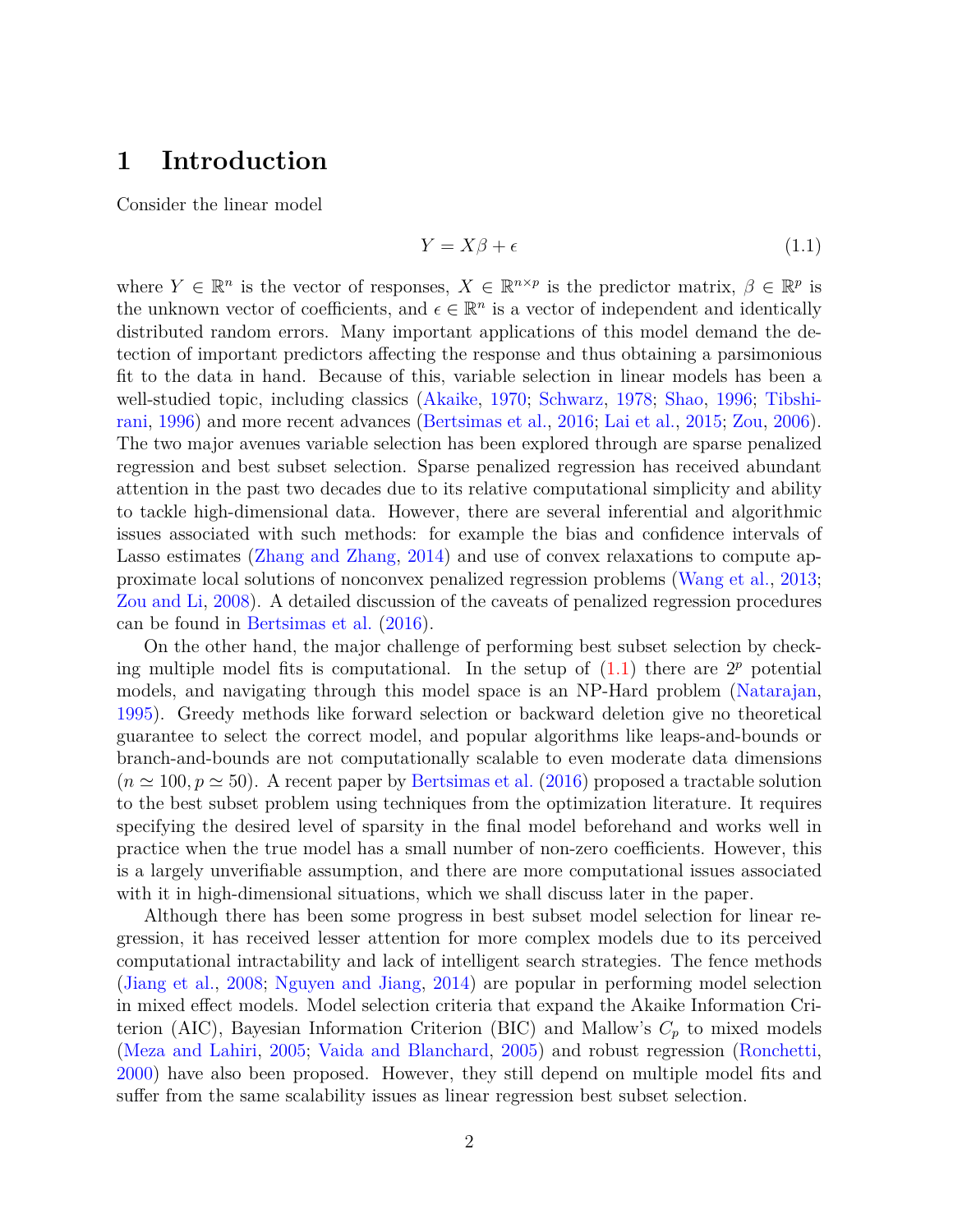### **1 Introduction**

Consider the linear model

<span id="page-1-0"></span>
$$
Y = X\beta + \epsilon \tag{1.1}
$$

where  $Y \in \mathbb{R}^n$  is the vector of responses,  $X \in \mathbb{R}^{n \times p}$  is the predictor matrix,  $\beta \in \mathbb{R}^p$  is the unknown vector of coefficients, and  $\epsilon \in \mathbb{R}^n$  is a vector of independent and identically distributed random errors. Many important applications of this model demand the detection of important predictors affecting the response and thus obtaining a parsimonious fit to the data in hand. Because of this, variable selection in linear models has been a well-studied topic, including classics [\(Akaike,](#page-23-0) [1970;](#page-23-0) [Schwarz,](#page-26-0) [1978;](#page-26-0) [Shao,](#page-26-1) [1996;](#page-26-1) [Tibshi](#page-26-2)[rani,](#page-26-2) [1996\)](#page-26-2) and more recent advances [\(Bertsimas et al.,](#page-24-0) [2016;](#page-24-0) [Lai et al.,](#page-25-0) [2015;](#page-25-0) [Zou,](#page-26-3) [2006\)](#page-26-3). The two major avenues variable selection has been explored through are sparse penalized regression and best subset selection. Sparse penalized regression has received abundant attention in the past two decades due to its relative computational simplicity and ability to tackle high-dimensional data. However, there are several inferential and algorithmic issues associated with such methods: for example the bias and confidence intervals of Lasso estimates [\(Zhang and Zhang,](#page-26-4) [2014\)](#page-26-4) and use of convex relaxations to compute approximate local solutions of nonconvex penalized regression problems [\(Wang et al.,](#page-26-5) [2013;](#page-26-5) [Zou and Li,](#page-26-6) [2008\)](#page-26-6). A detailed discussion of the caveats of penalized regression procedures can be found in [Bertsimas et al.](#page-24-0) [\(2016\)](#page-24-0).

On the other hand, the major challenge of performing best subset selection by checking multiple model fits is computational. In the setup of  $(1.1)$  there are  $2<sup>p</sup>$  potential models, and navigating through this model space is an NP-Hard problem [\(Natarajan,](#page-25-1) [1995\)](#page-25-1). Greedy methods like forward selection or backward deletion give no theoretical guarantee to select the correct model, and popular algorithms like leaps-and-bounds or branch-and-bounds are not computationally scalable to even moderate data dimensions  $(n \approx 100, p \approx 50)$ . A recent paper by [Bertsimas et al.](#page-24-0) [\(2016\)](#page-24-0) proposed a tractable solution to the best subset problem using techniques from the optimization literature. It requires specifying the desired level of sparsity in the final model beforehand and works well in practice when the true model has a small number of non-zero coefficients. However, this is a largely unverifiable assumption, and there are more computational issues associated with it in high-dimensional situations, which we shall discuss later in the paper.

Although there has been some progress in best subset model selection for linear regression, it has received lesser attention for more complex models due to its perceived computational intractability and lack of intelligent search strategies. The fence methods [\(Jiang et al.,](#page-24-1) [2008;](#page-24-1) [Nguyen and Jiang,](#page-25-2) [2014\)](#page-25-2) are popular in performing model selection in mixed effect models. Model selection criteria that expand the Akaike Information Criterion (AIC), Bayesian Information Criterion (BIC) and Mallow's *C<sup>p</sup>* to mixed models [\(Meza and Lahiri,](#page-25-3) [2005;](#page-25-3) [Vaida and Blanchard,](#page-26-7) [2005\)](#page-26-7) and robust regression [\(Ronchetti,](#page-25-4) [2000\)](#page-25-4) have also been proposed. However, they still depend on multiple model fits and suffer from the same scalability issues as linear regression best subset selection.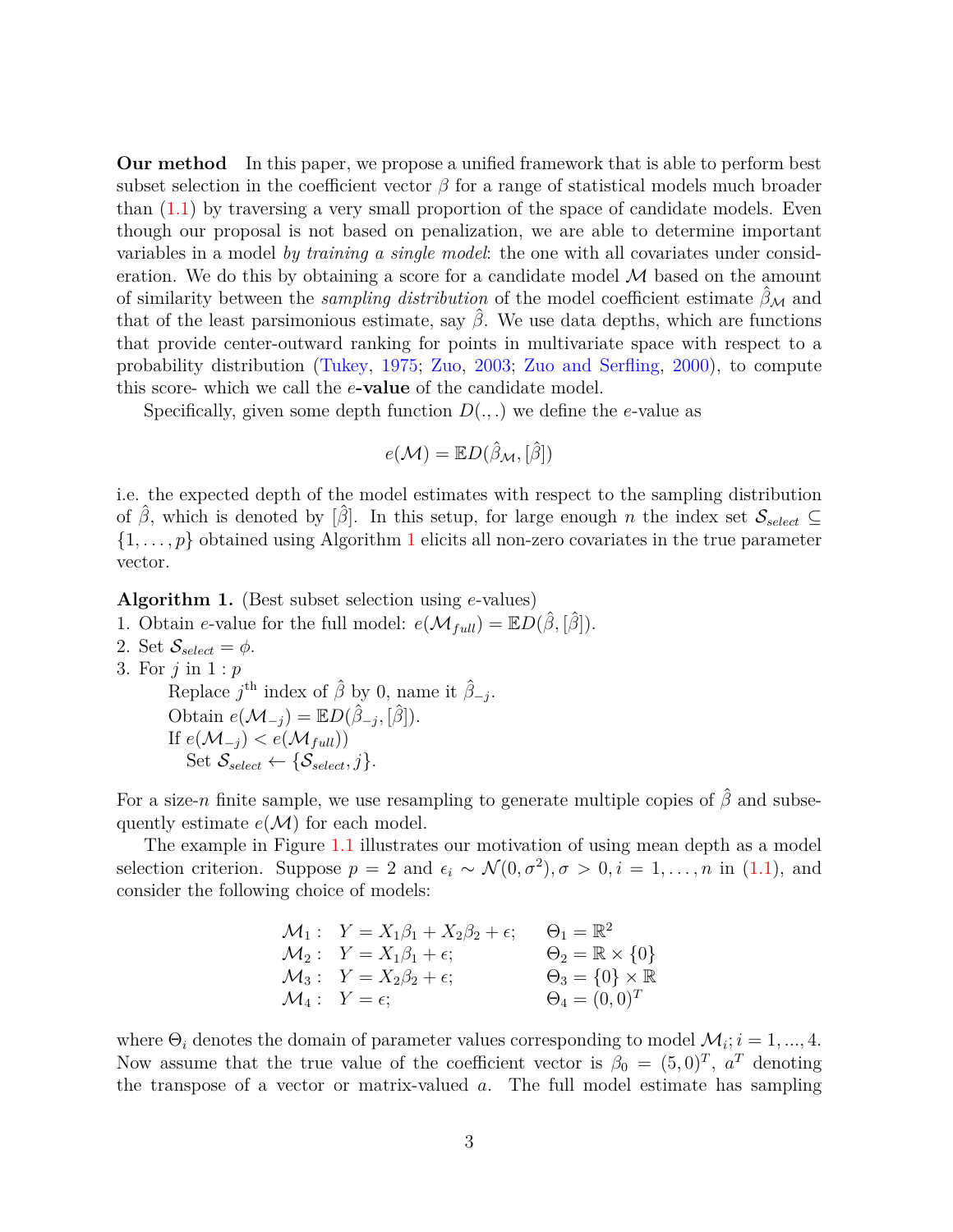**Our method** In this paper, we propose a unified framework that is able to perform best subset selection in the coefficient vector  $\beta$  for a range of statistical models much broader than  $(1.1)$  by traversing a very small proportion of the space of candidate models. Even though our proposal is not based on penalization, we are able to determine important variables in a model *by training a single model*: the one with all covariates under consideration. We do this by obtaining a score for a candidate model  $\mathcal M$  based on the amount of similarity between the *sampling distribution* of the model coefficient estimate  $\hat{\beta}_M$  and that of the least parsimonious estimate, say  $\hat{\beta}$ . We use data depths, which are functions that provide center-outward ranking for points in multivariate space with respect to a probability distribution [\(Tukey,](#page-26-8) [1975;](#page-26-8) [Zuo,](#page-27-0) [2003;](#page-27-0) [Zuo and Serfling,](#page-27-1) [2000\)](#page-27-1), to compute this score- which we call the *e***-value** of the candidate model.

Specifically, given some depth function  $D(.,.)$  we define the *e*-value as

$$
e(\mathcal{M}) = \mathbb{E} D(\hat{\beta}_{\mathcal{M}}, [\hat{\beta}])
$$

i.e. the expected depth of the model estimates with respect to the sampling distribution of  $\hat{\beta}$ , which is denoted by  $[\hat{\beta}]$ . In this setup, for large enough *n* the index set  $\mathcal{S}_{select} \subseteq$  $\{1, \ldots, p\}$  $\{1, \ldots, p\}$  $\{1, \ldots, p\}$  obtained using Algorithm 1 elicits all non-zero covariates in the true parameter vector.

<span id="page-2-0"></span>**Algorithm 1.** (Best subset selection using *e*-values)

- 1. Obtain *e*-value for the full model:  $e(\mathcal{M}_{full}) = \mathbb{E}D(\beta, |\beta|)$ .
- 2. Set  $\mathcal{S}_{select} = \phi$ .
- 3. For *j* in 1 : *p*

Replace  $j^{\text{th}}$  index of  $\hat{\beta}$  by 0, name it  $\hat{\beta}_{-j}$ . Obtain  $e(\mathcal{M}_{-j}) = \mathbb{E}D(\hat{\beta}_{-j}, [\hat{\beta}]).$ If  $e(\mathcal{M}_{-i}) < e(\mathcal{M}_{full})$ ) Set  $\mathcal{S}_{select} \leftarrow \{\mathcal{S}_{select}, j\}.$ 

For a size-*n* finite sample, we use resampling to generate multiple copies of  $\hat{\beta}$  and subsequently estimate  $e(\mathcal{M})$  for each model.

The example in Figure [1.1](#page-3-0) illustrates our motivation of using mean depth as a model selection criterion. Suppose  $p = 2$  and  $\epsilon_i \sim \mathcal{N}(0, \sigma^2), \sigma > 0, i = 1, ..., n$  in [\(1.1\)](#page-1-0), and consider the following choice of models:

$$
\mathcal{M}_1: \quad Y = X_1 \beta_1 + X_2 \beta_2 + \epsilon; \qquad \Theta_1 = \mathbb{R}^2
$$
  
\n
$$
\mathcal{M}_2: \quad Y = X_1 \beta_1 + \epsilon; \qquad \qquad \Theta_2 = \mathbb{R} \times \{0\}
$$
  
\n
$$
\mathcal{M}_3: \quad Y = X_2 \beta_2 + \epsilon; \qquad \qquad \Theta_3 = \{0\} \times \mathbb{R}
$$
  
\n
$$
\mathcal{M}_4: \quad Y = \epsilon; \qquad \qquad \Theta_4 = (0, 0)^T
$$

where  $\Theta_i$  denotes the domain of parameter values corresponding to model  $\mathcal{M}_i$ ;  $i = 1, ..., 4$ . Now assume that the true value of the coefficient vector is  $\beta_0 = (5,0)^T$ ,  $a^T$  denoting the transpose of a vector or matrix-valued *a*. The full model estimate has sampling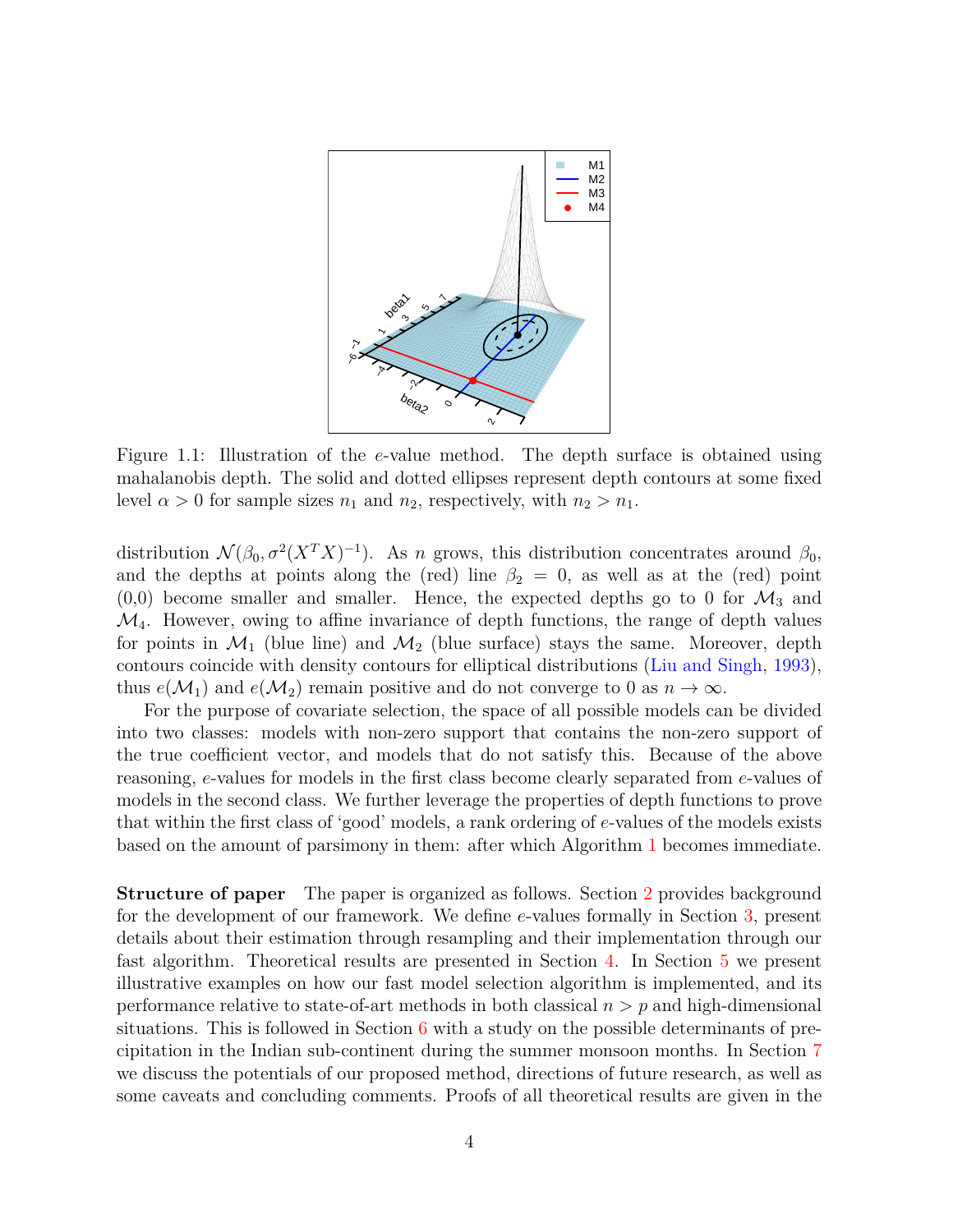

<span id="page-3-0"></span>Figure 1.1: Illustration of the *e*-value method. The depth surface is obtained using mahalanobis depth. The solid and dotted ellipses represent depth contours at some fixed level  $\alpha > 0$  for sample sizes  $n_1$  and  $n_2$ , respectively, with  $n_2 > n_1$ .

distribution  $\mathcal{N}(\beta_0, \sigma^2(X^TX)^{-1})$ . As *n* grows, this distribution concentrates around  $\beta_0$ , and the depths at points along the (red) line  $\beta_2 = 0$ , as well as at the (red) point  $(0,0)$  become smaller and smaller. Hence, the expected depths go to 0 for  $\mathcal{M}_3$  and  $\mathcal{M}_4$ . However, owing to affine invariance of depth functions, the range of depth values for points in  $\mathcal{M}_1$  (blue line) and  $\mathcal{M}_2$  (blue surface) stays the same. Moreover, depth contours coincide with density contours for elliptical distributions [\(Liu and Singh,](#page-25-5) [1993\)](#page-25-5), thus  $e(\mathcal{M}_1)$  and  $e(\mathcal{M}_2)$  remain positive and do not converge to 0 as  $n \to \infty$ .

For the purpose of covariate selection, the space of all possible models can be divided into two classes: models with non-zero support that contains the non-zero support of the true coefficient vector, and models that do not satisfy this. Because of the above reasoning, *e*-values for models in the first class become clearly separated from *e*-values of models in the second class. We further leverage the properties of depth functions to prove that within the first class of 'good' models, a rank ordering of *e*-values of the models exists based on the amount of parsimony in them: after which Algorithm [1](#page-2-0) becomes immediate.

**Structure of paper** The paper is organized as follows. Section [2](#page-4-0) provides background for the development of our framework. We define *e*-values formally in Section [3,](#page-7-0) present details about their estimation through resampling and their implementation through our fast algorithm. Theoretical results are presented in Section [4.](#page-11-0) In Section [5](#page-14-0) we present illustrative examples on how our fast model selection algorithm is implemented, and its performance relative to state-of-art methods in both classical *n > p* and high-dimensional situations. This is followed in Section [6](#page-18-0) with a study on the possible determinants of precipitation in the Indian sub-continent during the summer monsoon months. In Section [7](#page-20-0) we discuss the potentials of our proposed method, directions of future research, as well as some caveats and concluding comments. Proofs of all theoretical results are given in the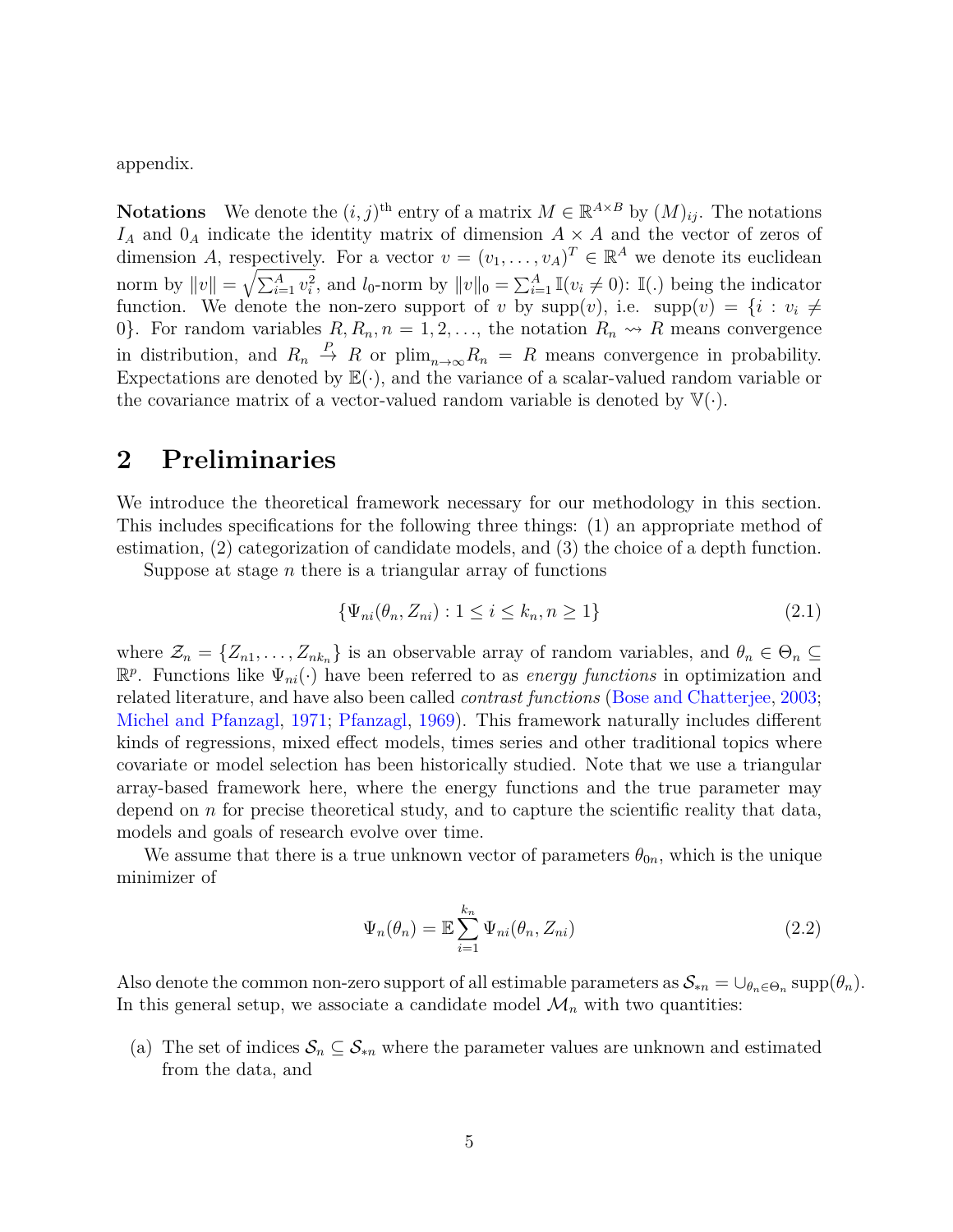appendix.

**Notations** We denote the  $(i, j)$ <sup>th</sup> entry of a matrix  $M \in \mathbb{R}^{A \times B}$  by  $(M)_{ij}$ . The notations  $I_A$  and  $0_A$  indicate the identity matrix of dimension  $A \times A$  and the vector of zeros of dimension *A*, respectively. For a vector  $v = (v_1, \ldots, v_A)^T \in \mathbb{R}^A$  we denote its euclidean norm by  $||v|| = \sqrt{\sum_{i=1}^{A} v_i^2}$ , and  $l_0$ -norm by  $||v||_0 = \sum_{i=1}^{A} \mathbb{I}(v_i \neq 0)$ :  $\mathbb{I}(.)$  being the indicator function. We denote the non-zero support of *v* by  $supp(v)$ , i.e.  $supp(v) = \{i : v_i \neq$ 0}. For random variables  $R, R_n, n = 1, 2, \ldots$ , the notation  $R_n \rightsquigarrow R$  means convergence in distribution, and  $R_n \stackrel{P}{\to} R$  or  $\text{plim}_{n\to\infty}R_n = R$  means convergence in probability. Expectations are denoted by  $\mathbb{E}(\cdot)$ , and the variance of a scalar-valued random variable or the covariance matrix of a vector-valued random variable is denoted by  $\mathbb{V}(\cdot)$ .

### <span id="page-4-0"></span>**2 Preliminaries**

We introduce the theoretical framework necessary for our methodology in this section. This includes specifications for the following three things: (1) an appropriate method of estimation, (2) categorization of candidate models, and (3) the choice of a depth function.

Suppose at stage *n* there is a triangular array of functions

$$
\{\Psi_{ni}(\theta_n, Z_{ni}) : 1 \le i \le k_n, n \ge 1\}
$$
\n(2.1)

where  $\mathcal{Z}_n = \{Z_{n1}, \ldots, Z_{nk_n}\}\$ is an observable array of random variables, and  $\theta_n \in \Theta_n \subseteq$  $\mathbb{R}^p$ . Functions like  $\Psi_{ni}(\cdot)$  have been referred to as *energy functions* in optimization and related literature, and have also been called *contrast functions* [\(Bose and Chatterjee,](#page-24-2) [2003;](#page-24-2) [Michel and Pfanzagl,](#page-25-6) [1971;](#page-25-6) [Pfanzagl,](#page-25-7) [1969\)](#page-25-7). This framework naturally includes different kinds of regressions, mixed effect models, times series and other traditional topics where covariate or model selection has been historically studied. Note that we use a triangular array-based framework here, where the energy functions and the true parameter may depend on *n* for precise theoretical study, and to capture the scientific reality that data, models and goals of research evolve over time.

We assume that there is a true unknown vector of parameters  $\theta_{0n}$ , which is the unique minimizer of

<span id="page-4-1"></span>
$$
\Psi_n(\theta_n) = \mathbb{E} \sum_{i=1}^{k_n} \Psi_{ni}(\theta_n, Z_{ni})
$$
\n(2.2)

Also denote the common non-zero support of all estimable parameters as  $\mathcal{S}_{*n} = \bigcup_{\theta_n \in \Theta_n} \text{supp}(\theta_n)$ . In this general setup, we associate a candidate model  $\mathcal{M}_n$  with two quantities:

(a) The set of indices  $S_n \subseteq S_{n}$  where the parameter values are unknown and estimated from the data, and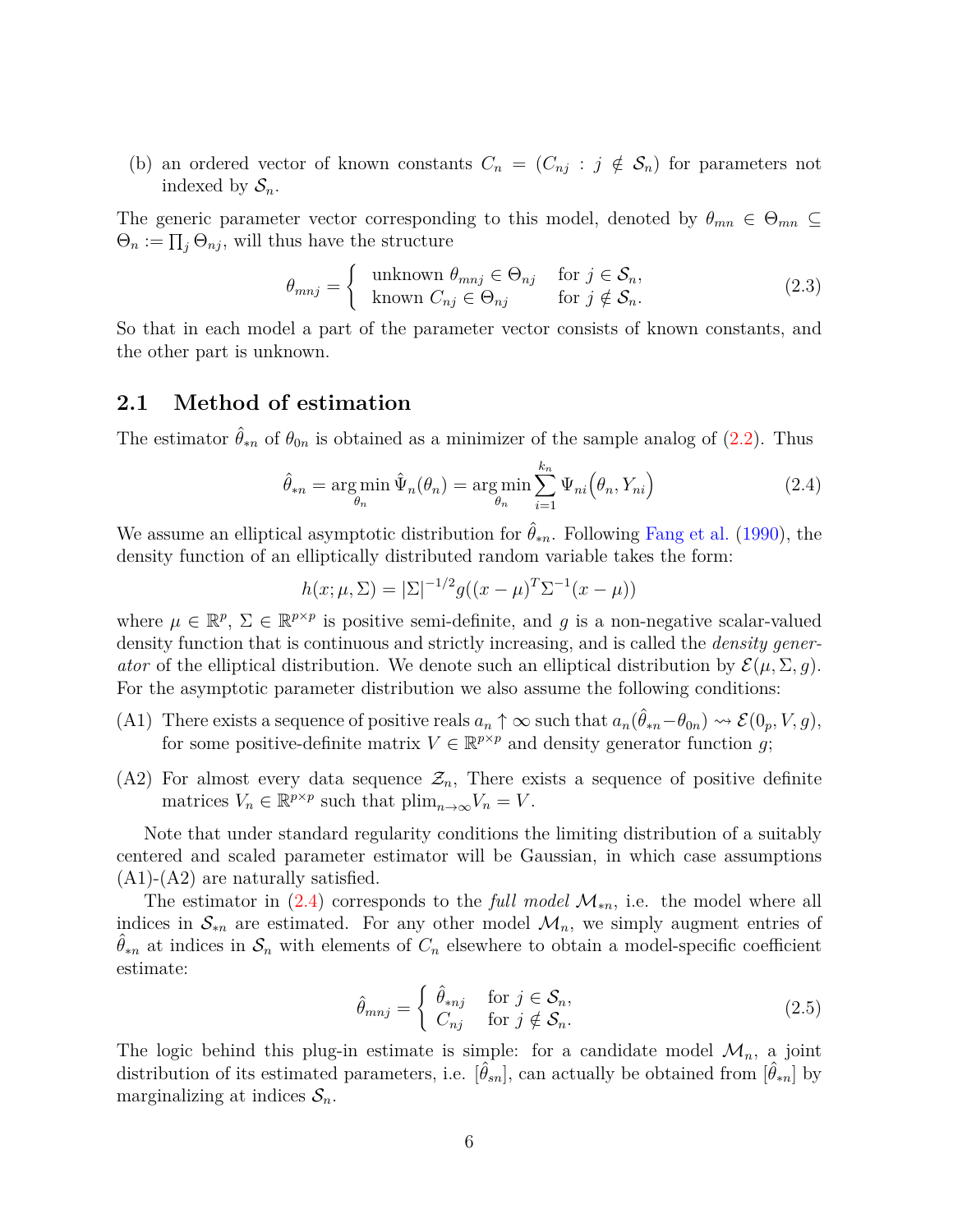(b) an ordered vector of known constants  $C_n = (C_{nj} : j \notin S_n)$  for parameters not indexed by  $S_n$ .

The generic parameter vector corresponding to this model, denoted by  $\theta_{mn} \in \Theta_{mn} \subseteq$  $\Theta_n := \prod_j \Theta_{nj}$ , will thus have the structure

<span id="page-5-1"></span>
$$
\theta_{mnj} = \begin{cases} \text{unknown } \theta_{mnj} \in \Theta_{nj} & \text{for } j \in \mathcal{S}_n, \\ \text{known } C_{nj} \in \Theta_{nj} & \text{for } j \notin \mathcal{S}_n. \end{cases} \tag{2.3}
$$

So that in each model a part of the parameter vector consists of known constants, and the other part is unknown.

#### **2.1 Method of estimation**

The estimator  $\hat{\theta}_{*n}$  of  $\theta_{0n}$  is obtained as a minimizer of the sample analog of [\(2.2\)](#page-4-1). Thus

$$
\hat{\theta}_{*n} = \underset{\theta_n}{\arg\min} \hat{\Psi}_n(\theta_n) = \underset{\theta_n}{\arg\min} \sum_{i=1}^{k_n} \Psi_{ni}(\theta_n, Y_{ni})
$$
\n(2.4)

We assume an elliptical asymptotic distribution for  $\hat{\theta}_{*n}$ . Following [Fang et al.](#page-24-3) [\(1990\)](#page-24-3), the density function of an elliptically distributed random variable takes the form:

<span id="page-5-0"></span>
$$
h(x; \mu, \Sigma) = |\Sigma|^{-1/2} g((x - \mu)^T \Sigma^{-1} (x - \mu))
$$

where  $\mu \in \mathbb{R}^p$ ,  $\Sigma \in \mathbb{R}^{p \times p}$  is positive semi-definite, and *g* is a non-negative scalar-valued density function that is continuous and strictly increasing, and is called the *density generator* of the elliptical distribution. We denote such an elliptical distribution by  $\mathcal{E}(\mu, \Sigma, g)$ . For the asymptotic parameter distribution we also assume the following conditions:

- (A1) There exists a sequence of positive reals  $a_n \uparrow \infty$  such that  $a_n(\hat{\theta}_{*n}-\theta_{0n}) \leadsto \mathcal{E}(0_p, V, g)$ , for some positive-definite matrix  $V \in \mathbb{R}^{p \times p}$  and density generator function *g*;
- (A2) For almost every data sequence  $\mathcal{Z}_n$ , There exists a sequence of positive definite matrices  $V_n \in \mathbb{R}^{p \times p}$  such that  $\text{plim}_{n \to \infty} V_n = V$ .

Note that under standard regularity conditions the limiting distribution of a suitably centered and scaled parameter estimator will be Gaussian, in which case assumptions  $(A1)-(A2)$  are naturally satisfied.

The estimator in  $(2.4)$  corresponds to the *full model*  $\mathcal{M}_{*n}$ , i.e. the model where all indices in  $\mathcal{S}_{*n}$  are estimated. For any other model  $\mathcal{M}_n$ , we simply augment entries of  $\theta_{*n}$  at indices in  $\mathcal{S}_n$  with elements of  $C_n$  elsewhere to obtain a model-specific coefficient estimate:

<span id="page-5-2"></span>
$$
\hat{\theta}_{mnj} = \begin{cases} \n\hat{\theta}_{*nj} & \text{for } j \in \mathcal{S}_n, \\ \nC_{nj} & \text{for } j \notin \mathcal{S}_n. \n\end{cases} \tag{2.5}
$$

The logic behind this plug-in estimate is simple: for a candidate model  $\mathcal{M}_n$ , a joint distribution of its estimated parameters, i.e.  $[\hat{\theta}_{sn}]$ , can actually be obtained from  $[\hat{\theta}_{rn}]$  by marginalizing at indices  $S_n$ .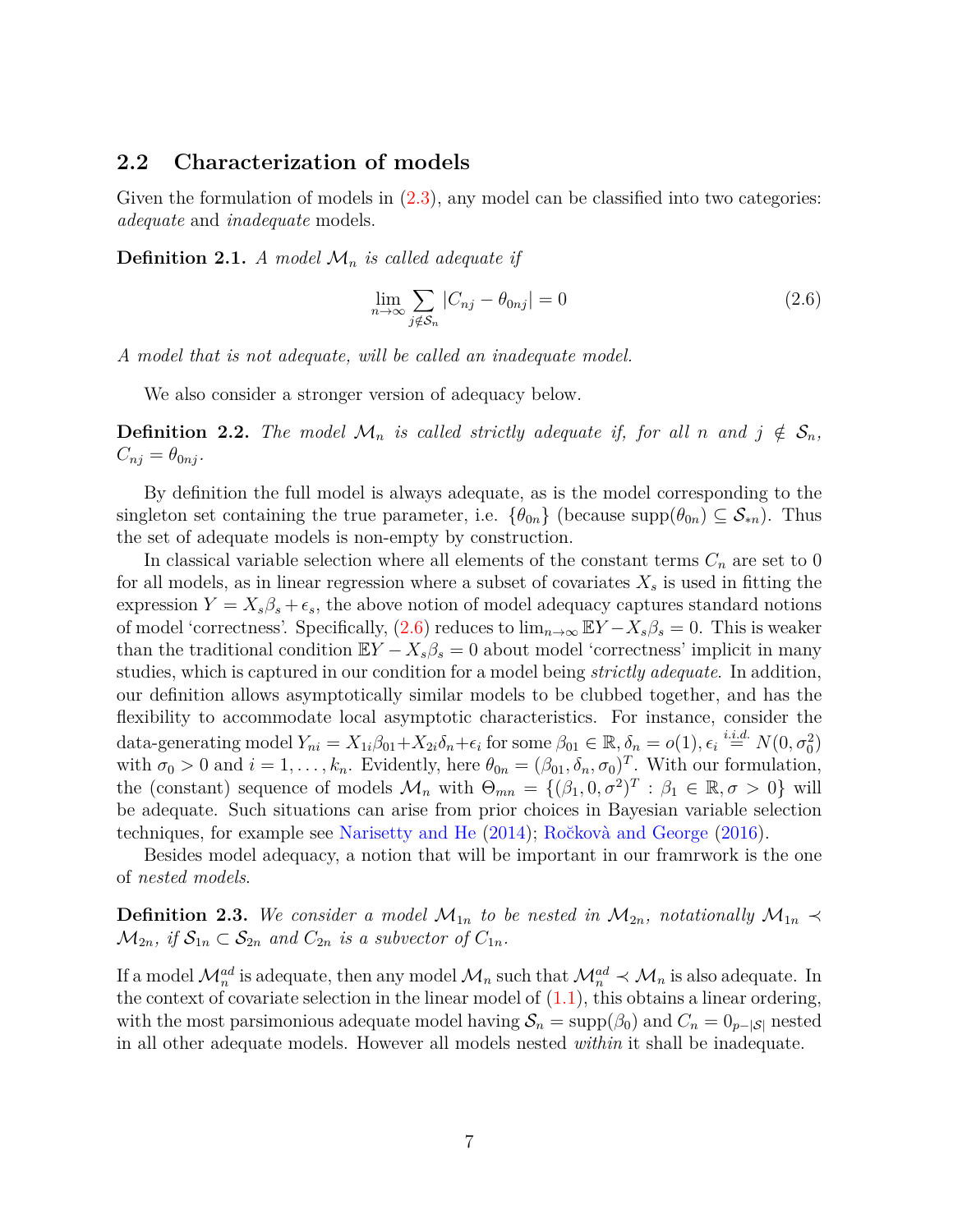#### **2.2 Characterization of models**

Given the formulation of models in  $(2.3)$ , any model can be classified into two categories: *adequate* and *inadequate* models.

**Definition 2.1.** *A model*  $\mathcal{M}_n$  *is called adequate if* 

<span id="page-6-0"></span>
$$
\lim_{n \to \infty} \sum_{j \notin S_n} |C_{nj} - \theta_{0nj}| = 0 \tag{2.6}
$$

*A model that is not adequate, will be called an inadequate model.*

We also consider a stronger version of adequacy below.

**Definition 2.2.** The model  $\mathcal{M}_n$  is called strictly adequate if, for all *n* and  $j \notin \mathcal{S}_n$ ,  $C_{nj} = \theta_{0nj}$ .

By definition the full model is always adequate, as is the model corresponding to the singleton set containing the true parameter, i.e.  $\{\theta_{0n}\}\$  (because supp $(\theta_{0n}) \subseteq S_{*n}$ ). Thus the set of adequate models is non-empty by construction.

In classical variable selection where all elements of the constant terms  $C_n$  are set to 0 for all models, as in linear regression where a subset of covariates  $X<sub>s</sub>$  is used in fitting the expression  $Y = X_s \beta_s + \epsilon_s$ , the above notion of model adequacy captures standard notions of model 'correctness'. Specifically,  $(2.6)$  reduces to  $\lim_{n\to\infty} EY - X_s\beta_s = 0$ . This is weaker than the traditional condition  $EY - X_s\beta_s = 0$  about model 'correctness' implicit in many studies, which is captured in our condition for a model being *strictly adequate*. In addition, our definition allows asymptotically similar models to be clubbed together, and has the flexibility to accommodate local asymptotic characteristics. For instance, consider the data-generating model  $Y_{ni} = X_{1i}\beta_{01} + X_{2i}\delta_n + \epsilon_i$  for some  $\beta_{01} \in \mathbb{R}, \delta_n = o(1), \epsilon_i \stackrel{i.i.d.}{=} N(0, \sigma_0^2)$ with  $\sigma_0 > 0$  and  $i = 1, \ldots, k_n$ . Evidently, here  $\theta_{0n} = (\beta_{01}, \delta_n, \sigma_0)^T$ . With our formulation, the (constant) sequence of models  $\mathcal{M}_n$  with  $\Theta_{mn} = \{(\beta_1, 0, \sigma^2)^T : \beta_1 \in \mathbb{R}, \sigma > 0\}$  will be adequate. Such situations can arise from prior choices in Bayesian variable selection techniques, for example see [Narisetty and He](#page-25-8) [\(2014\)](#page-25-8); Ročkovà and George [\(2016\)](#page-26-9).

Besides model adequacy, a notion that will be important in our framrwork is the one of *nested models*.

**Definition 2.3.** We consider a model  $\mathcal{M}_{1n}$  to be nested in  $\mathcal{M}_{2n}$ , notationally  $\mathcal{M}_{1n} \prec$  $\mathcal{M}_{2n}$ *, if*  $\mathcal{S}_{1n} \subset \mathcal{S}_{2n}$  *and*  $C_{2n}$  *is a subvector of*  $C_{1n}$ *.* 

If a model  $\mathcal{M}_n^{ad}$  is adequate, then any model  $\mathcal{M}_n$  such that  $\mathcal{M}_n^{ad} \prec \mathcal{M}_n$  is also adequate. In the context of covariate selection in the linear model of  $(1.1)$ , this obtains a linear ordering, with the most parsimonious adequate model having  $S_n = \text{supp}(\beta_0)$  and  $C_n = 0_{p-|S|}$  nested in all other adequate models. However all models nested *within* it shall be inadequate.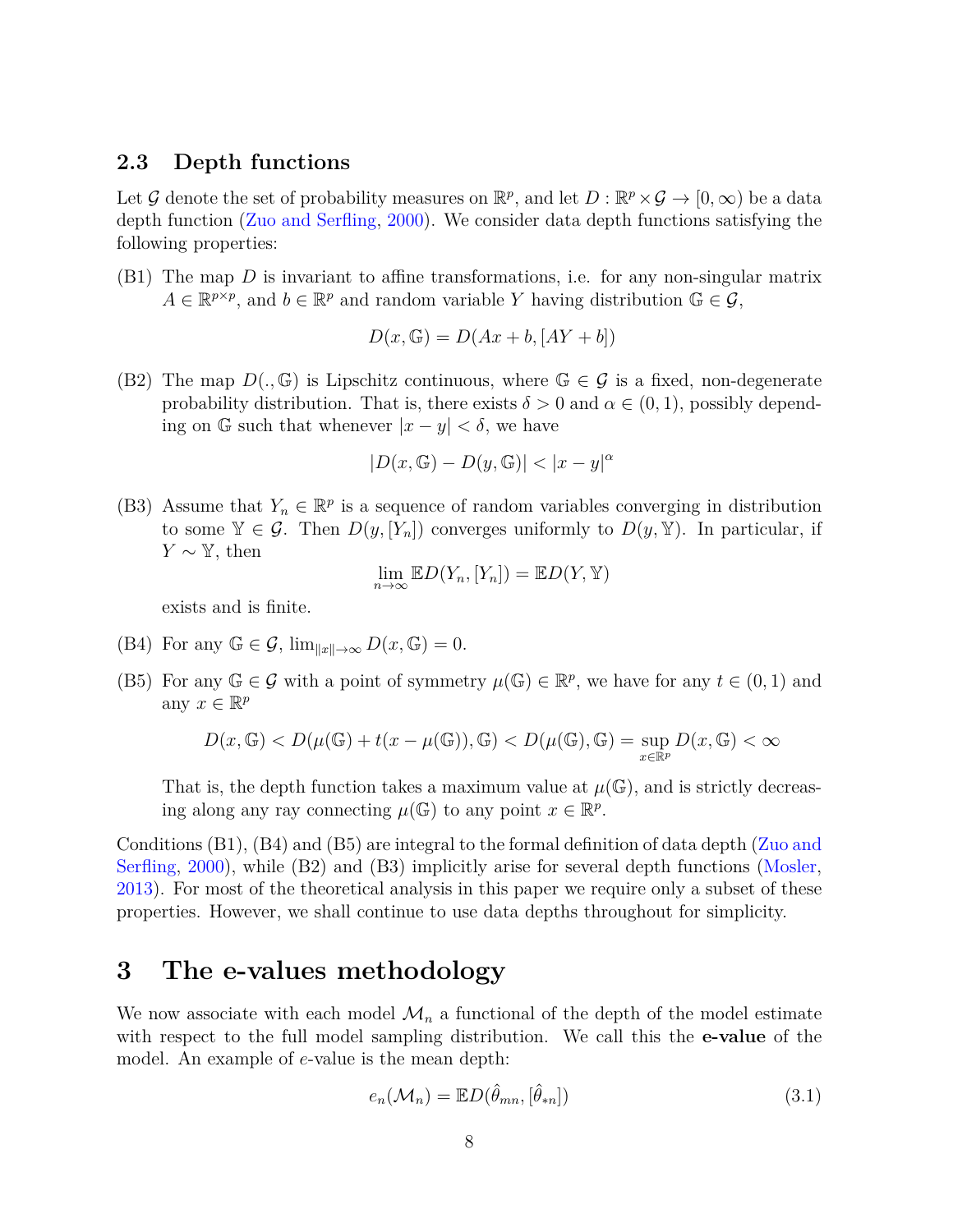#### **2.3 Depth functions**

Let G denote the set of probability measures on  $\mathbb{R}^p$ , and let  $D : \mathbb{R}^p \times G \to [0, \infty)$  be a data depth function [\(Zuo and Serfling,](#page-27-1) [2000\)](#page-27-1). We consider data depth functions satisfying the following properties:

(B1) The map *D* is invariant to affine transformations, i.e. for any non-singular matrix  $A \in \mathbb{R}^{p \times p}$ , and  $b \in \mathbb{R}^p$  and random variable *Y* having distribution  $\mathbb{G} \in \mathcal{G}$ ,

$$
D(x, \mathbb{G}) = D(Ax + b, [AY + b])
$$

(B2) The map  $D(.,\mathbb{G})$  is Lipschitz continuous, where  $\mathbb{G}\in\mathcal{G}$  is a fixed, non-degenerate probability distribution. That is, there exists  $\delta > 0$  and  $\alpha \in (0, 1)$ , possibly depending on G such that whenever  $|x - y| < \delta$ , we have

$$
|D(x,\mathbb{G}) - D(y,\mathbb{G})| < |x - y|^{\alpha}
$$

(B3) Assume that  $Y_n \in \mathbb{R}^p$  is a sequence of random variables converging in distribution to some  $\mathbb{Y} \in \mathcal{G}$ . Then  $D(y, [Y_n])$  converges uniformly to  $D(y, \mathbb{Y})$ . In particular, if *Y* ∼  $\mathbb{Y}$ , then

$$
\lim_{n\to\infty} \mathbb{E} D(Y_n, [Y_n]) = \mathbb{E} D(Y, \mathbb{Y})
$$

exists and is finite.

- (B4) For any  $\mathbb{G} \in \mathcal{G}$ ,  $\lim_{\|x\| \to \infty} D(x, \mathbb{G}) = 0$ .
- (B5) For any  $\mathbb{G} \in \mathcal{G}$  with a point of symmetry  $\mu(\mathbb{G}) \in \mathbb{R}^p$ , we have for any  $t \in (0,1)$  and any  $x \in \mathbb{R}^p$

$$
D(x,\mathbb G)
$$

That is, the depth function takes a maximum value at  $\mu(\mathbb{G})$ , and is strictly decreasing along any ray connecting  $\mu(\mathbb{G})$  to any point  $x \in \mathbb{R}^p$ .

Conditions (B1), (B4) and (B5) are integral to the formal definition of data depth [\(Zuo and](#page-27-1) [Serfling,](#page-27-1) [2000\)](#page-27-1), while (B2) and (B3) implicitly arise for several depth functions [\(Mosler,](#page-25-9) [2013\)](#page-25-9). For most of the theoretical analysis in this paper we require only a subset of these properties. However, we shall continue to use data depths throughout for simplicity.

## <span id="page-7-0"></span>**3 The e-values methodology**

We now associate with each model  $\mathcal{M}_n$  a functional of the depth of the model estimate with respect to the full model sampling distribution. We call this the **e-value** of the model. An example of *e*-value is the mean depth:

<span id="page-7-1"></span>
$$
e_n(\mathcal{M}_n) = \mathbb{E}D(\hat{\theta}_{mn}, [\hat{\theta}_{*n}])
$$
\n(3.1)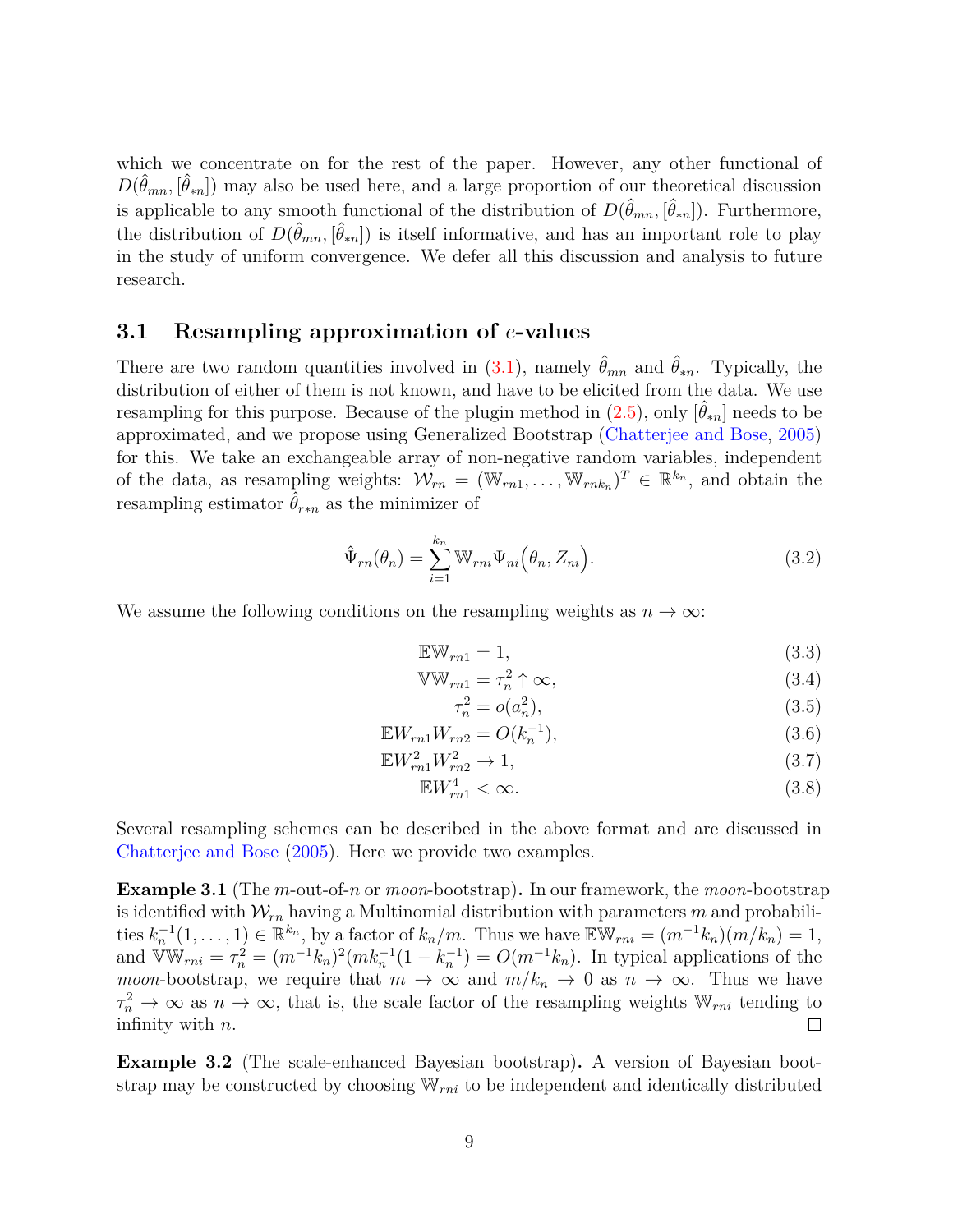which we concentrate on for the rest of the paper. However, any other functional of  $D(\hat{\theta}_{mn}, \hat{\theta}_{*n})$  may also be used here, and a large proportion of our theoretical discussion is applicable to any smooth functional of the distribution of  $D(\hat{\theta}_{mn}, [\hat{\theta}_{*n}])$ . Furthermore, the distribution of  $D(\hat{\theta}_{mn}, [\hat{\theta}_{*n}])$  is itself informative, and has an important role to play in the study of uniform convergence. We defer all this discussion and analysis to future research.

#### **3.1 Resampling approximation of** *e***-values**

There are two random quantities involved in  $(3.1)$ , namely  $\hat{\theta}_{mn}$  and  $\hat{\theta}_{*n}$ . Typically, the distribution of either of them is not known, and have to be elicited from the data. We use resampling for this purpose. Because of the plugin method in  $(2.5)$ , only  $[\hat{\theta}_{*n}]$  needs to be approximated, and we propose using Generalized Bootstrap [\(Chatterjee and Bose,](#page-24-4) [2005\)](#page-24-4) for this. We take an exchangeable array of non-negative random variables, independent of the data, as resampling weights:  $W_{rn} = (\mathbb{W}_{rn1}, \dots, \mathbb{W}_{rnk_n})^T \in \mathbb{R}^{k_n}$ , and obtain the resampling estimator  $\hat{\theta}_{r*n}$  as the minimizer of

$$
\hat{\Psi}_{rn}(\theta_n) = \sum_{i=1}^{k_n} \mathbb{W}_{rni} \Psi_{ni}(\theta_n, Z_{ni}).
$$
\n(3.2)

We assume the following conditions on the resampling weights as  $n \to \infty$ :

$$
\mathbb{E} \mathbb{W}_{rn1} = 1,\tag{3.3}
$$

$$
\mathbb{VW}_{rn1} = \tau_n^2 \uparrow \infty, \tag{3.4}
$$

<span id="page-8-2"></span><span id="page-8-1"></span><span id="page-8-0"></span>
$$
\tau_n^2 = o(a_n^2),\tag{3.5}
$$

$$
\mathbb{E}W_{rn1}W_{rn2} = O(k_n^{-1}),\tag{3.6}
$$

$$
\mathbb{E}W_{rn1}^2 W_{rn2}^2 \to 1,\tag{3.7}
$$

$$
\mathbb{E}W_{rn1}^4 < \infty. \tag{3.8}
$$

Several resampling schemes can be described in the above format and are discussed in [Chatterjee and Bose](#page-24-4) [\(2005\)](#page-24-4). Here we provide two examples.

**Example 3.1** (The *m*-out-of-*n* or *moon*-bootstrap)**.** In our framework, the *moon*-bootstrap is identified with  $W_{rn}$  having a Multinomial distribution with parameters  $m$  and probabilities  $k_n^{-1}(1,\ldots,1) \in \mathbb{R}^{k_n}$ , by a factor of  $k_n/m$ . Thus we have  $\mathbb{E} \mathbb{W}_{rni} = (m^{-1}k_n)(m/k_n) = 1$ , and  $\widehat{V}W_{rni} = \tau_n^2 = (m^{-1}k_n)^2(mk_n^{-1}(1 - k_n^{-1}) = O(m^{-1}k_n)$ . In typical applications of the *moon*-bootstrap, we require that  $m \to \infty$  and  $m/k_n \to 0$  as  $n \to \infty$ . Thus we have  $\tau_n^2 \to \infty$  as  $n \to \infty$ , that is, the scale factor of the resampling weights  $\mathbb{W}_{rni}$  tending to infinity with *n*.  $\Box$ 

<span id="page-8-3"></span>**Example 3.2** (The scale-enhanced Bayesian bootstrap)**.** A version of Bayesian bootstrap may be constructed by choosing W*rni* to be independent and identically distributed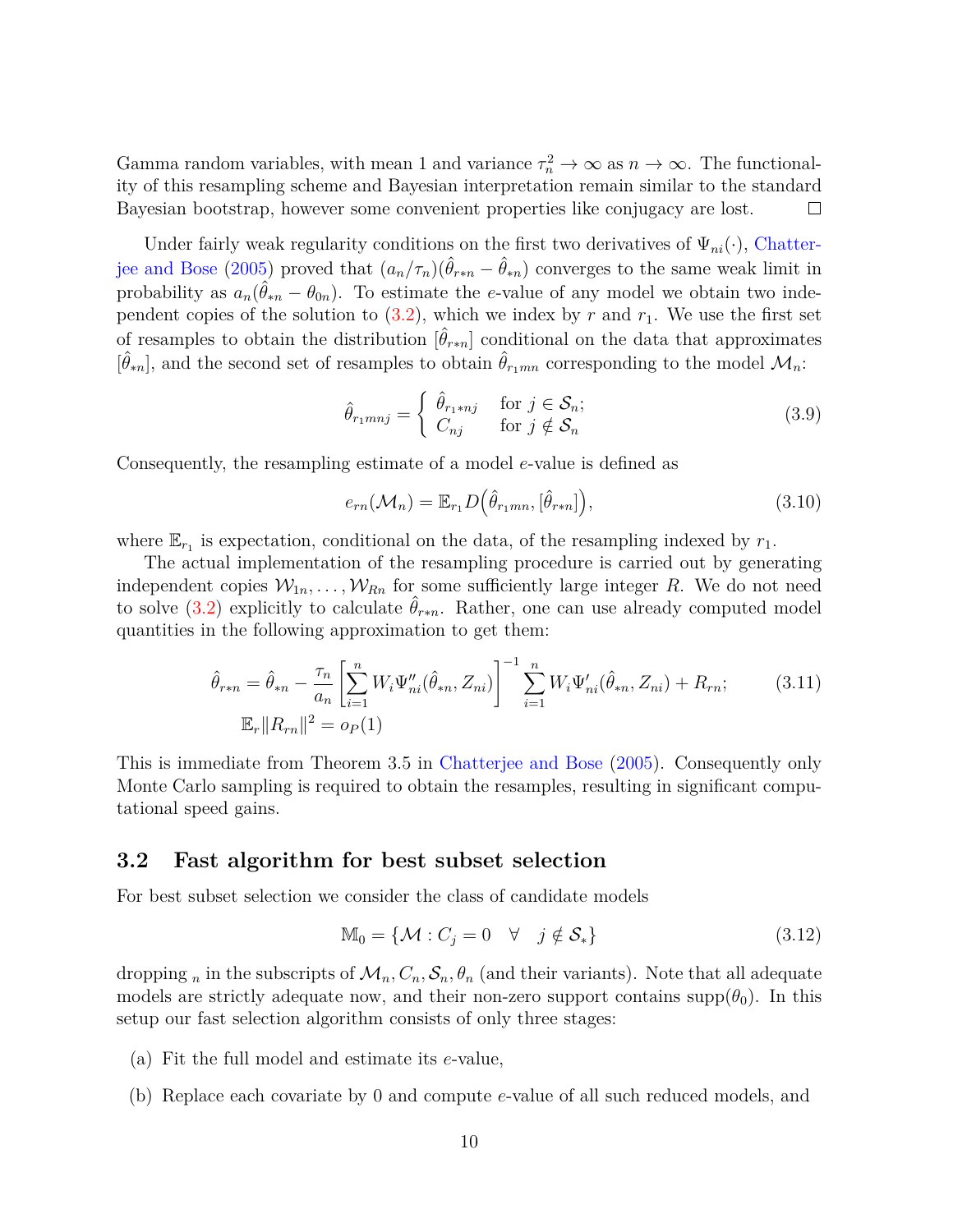Gamma random variables, with mean 1 and variance  $\tau_n^2 \to \infty$  as  $n \to \infty$ . The functionality of this resampling scheme and Bayesian interpretation remain similar to the standard Bayesian bootstrap, however some convenient properties like conjugacy are lost.  $\Box$ 

Under fairly weak regularity conditions on the first two derivatives of  $\Psi_{ni}(\cdot)$ , [Chatter](#page-24-4)[jee and Bose](#page-24-4) [\(2005\)](#page-24-4) proved that  $(a_n/\tau_n)(\hat{\theta}_{r*n} - \hat{\theta}_{rn})$  converges to the same weak limit in probability as  $a_n(\hat{\theta}_{*n} - \theta_{0n})$ . To estimate the *e*-value of any model we obtain two independent copies of the solution to  $(3.2)$ , which we index by  $r$  and  $r_1$ . We use the first set of resamples to obtain the distribution  $[\hat{\theta}_{r*n}]$  conditional on the data that approximates  $[\hat{\theta}_{*n}]$ , and the second set of resamples to obtain  $\hat{\theta}_{r_1mn}$  corresponding to the model  $\mathcal{M}_n$ :

$$
\hat{\theta}_{r_1mnj} = \begin{cases} \hat{\theta}_{r_1*nj} & \text{for } j \in \mathcal{S}_n; \\ C_{nj} & \text{for } j \notin \mathcal{S}_n \end{cases}
$$
\n(3.9)

Consequently, the resampling estimate of a model *e*-value is defined as

<span id="page-9-1"></span><span id="page-9-0"></span>
$$
e_{rn}(\mathcal{M}_n) = \mathbb{E}_{r_1} D(\hat{\theta}_{r_1mn}, [\hat{\theta}_{r*n}]), \qquad (3.10)
$$

where  $\mathbb{E}_{r_1}$  is expectation, conditional on the data, of the resampling indexed by  $r_1$ .

The actual implementation of the resampling procedure is carried out by generating independent copies  $W_{1n}, \ldots, W_{Rn}$  for some sufficiently large integer R. We do not need to solve [\(3.2\)](#page-8-0) explicitly to calculate  $\hat{\theta}_{r*n}$ . Rather, one can use already computed model quantities in the following approximation to get them:

$$
\hat{\theta}_{r*n} = \hat{\theta}_{*n} - \frac{\tau_n}{a_n} \left[ \sum_{i=1}^n W_i \Psi_{ni}''(\hat{\theta}_{*n}, Z_{ni}) \right]^{-1} \sum_{i=1}^n W_i \Psi_{ni}'(\hat{\theta}_{*n}, Z_{ni}) + R_{rn};
$$
\n
$$
\mathbb{E}_r ||R_{rn}||^2 = o_P(1)
$$
\n(3.11)

This is immediate from Theorem 3.5 in [Chatterjee and Bose](#page-24-4) [\(2005\)](#page-24-4). Consequently only Monte Carlo sampling is required to obtain the resamples, resulting in significant computational speed gains.

#### <span id="page-9-2"></span>**3.2 Fast algorithm for best subset selection**

For best subset selection we consider the class of candidate models

$$
\mathbb{M}_0 = \{ \mathcal{M} : C_j = 0 \quad \forall \quad j \notin \mathcal{S}_* \}
$$
\n(3.12)

dropping *n* in the subscripts of  $\mathcal{M}_n$ ,  $C_n$ ,  $\mathcal{S}_n$ ,  $\theta_n$  (and their variants). Note that all adequate models are strictly adequate now, and their non-zero support contains supp $(\theta_0)$ . In this setup our fast selection algorithm consists of only three stages:

- (a) Fit the full model and estimate its *e*-value,
- (b) Replace each covariate by 0 and compute *e*-value of all such reduced models, and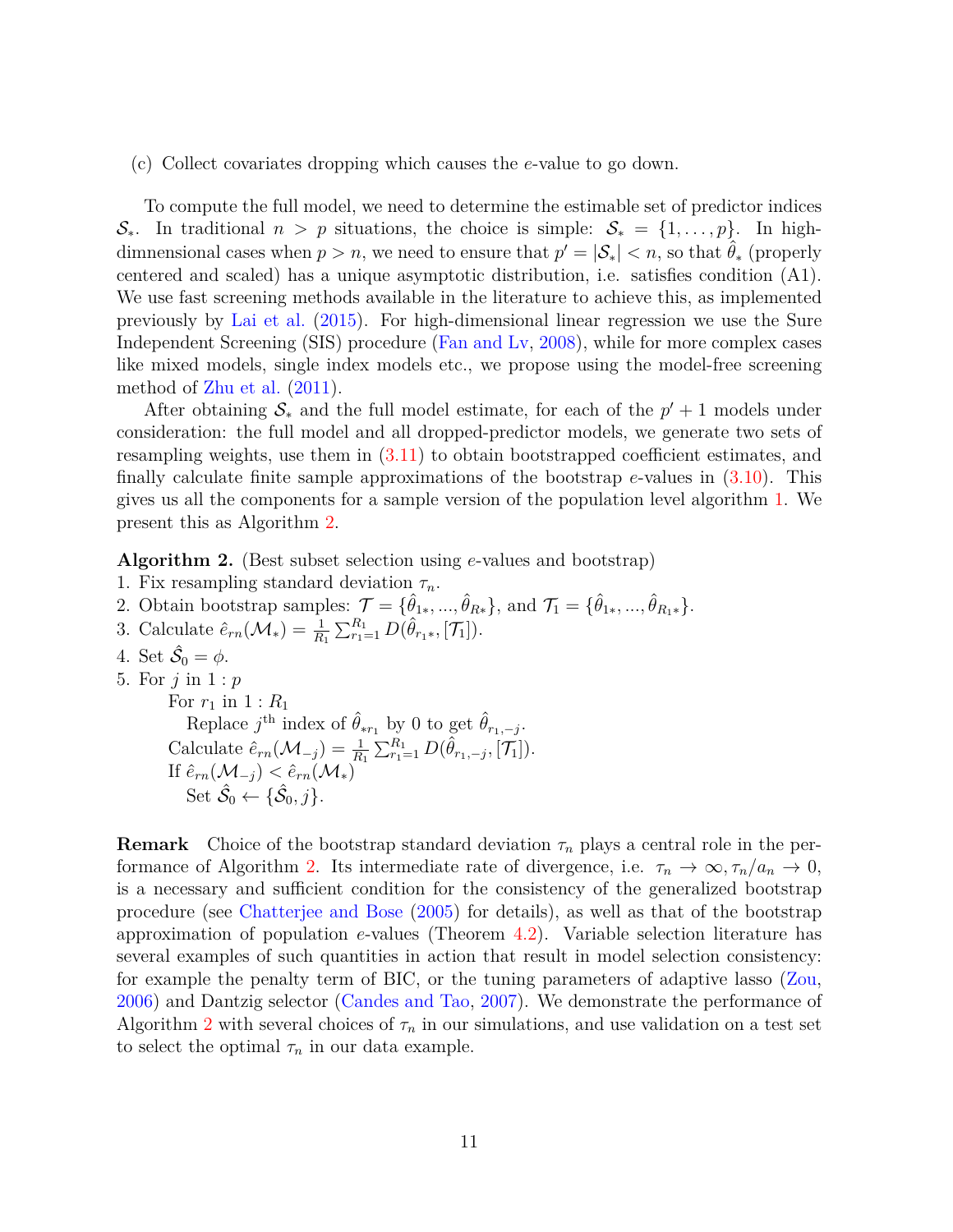(c) Collect covariates dropping which causes the *e*-value to go down.

To compute the full model, we need to determine the estimable set of predictor indices  $\mathcal{S}_*$ . In traditional  $n > p$  situations, the choice is simple:  $\mathcal{S}_* = \{1, \ldots, p\}$ . In highdimnensional cases when  $p > n$ , we need to ensure that  $p' = |\mathcal{S}_*| < n$ , so that  $\hat{\theta}_*$  (properly centered and scaled) has a unique asymptotic distribution, i.e. satisfies condition (A1). We use fast screening methods available in the literature to achieve this, as implemented previously by [Lai et al.](#page-25-0) [\(2015\)](#page-25-0). For high-dimensional linear regression we use the Sure Independent Screening (SIS) procedure [\(Fan and Lv,](#page-24-5) [2008\)](#page-24-5), while for more complex cases like mixed models, single index models etc., we propose using the model-free screening method of [Zhu et al.](#page-26-10) [\(2011\)](#page-26-10).

After obtaining  $S_*$  and the full model estimate, for each of the  $p' + 1$  models under consideration: the full model and all dropped-predictor models, we generate two sets of resampling weights, use them in [\(3.11\)](#page-9-0) to obtain bootstrapped coefficient estimates, and finally calculate finite sample approximations of the bootstrap *e*-values in [\(3.10\)](#page-9-1). This gives us all the components for a sample version of the population level algorithm [1.](#page-2-0) We present this as Algorithm [2.](#page-10-0)

<span id="page-10-0"></span>**Algorithm 2.** (Best subset selection using *e*-values and bootstrap)

- 1. Fix resampling standard deviation *τn*.
- 2. Obtain bootstrap samples:  $\mathcal{T} = {\hat{\theta}_{1*}, ..., \hat{\theta}_{R*}}$ , and  $\mathcal{T}_1 = {\hat{\theta}_{1*}, ..., \hat{\theta}_{R_1*}}$ .

3. Calculate 
$$
\hat{e}_{rn}(\mathcal{M}_*) = \frac{1}{R_1} \sum_{r_1=1}^{R_1} D(\hat{\theta}_{r_1*}, [\mathcal{T}_1]).
$$

- 4. Set  $\hat{\mathcal{S}}_0 = \phi$ .
- 5. For *j* in 1 : *p*

For  $r_1$  in  $1 : R_1$ Replace  $j^{\text{th}}$  index of  $\hat{\theta}_{*r_1}$  by 0 to get  $\hat{\theta}_{r_1,-j}$ .  $\text{Calculate } \hat{e}_{rn}(\mathcal{M}_{-j}) = \frac{1}{R_1} \sum_{r_1=1}^{R_1} D(\hat{\theta}_{r_1,-j}, \vec{[T_1]}).$ If  $\hat{e}_{rn}(\mathcal{M}_{-j}) < \hat{e}_{rn}(\mathcal{M}_{*})$ Set  $\hat{\mathcal{S}}_0 \leftarrow {\{\hat{\mathcal{S}}_0, j\}}.$ 

**Remark** Choice of the bootstrap standard deviation  $\tau_n$  plays a central role in the per-formance of Algorithm [2.](#page-10-0) Its intermediate rate of divergence, i.e.  $\tau_n \to \infty, \tau_n/a_n \to 0$ , is a necessary and sufficient condition for the consistency of the generalized bootstrap procedure (see [Chatterjee and Bose](#page-24-4) [\(2005\)](#page-24-4) for details), as well as that of the bootstrap approximation of population *e*-values (Theorem [4.2\)](#page-11-1). Variable selection literature has several examples of such quantities in action that result in model selection consistency: for example the penalty term of BIC, or the tuning parameters of adaptive lasso [\(Zou,](#page-26-3) [2006\)](#page-26-3) and Dantzig selector [\(Candes and Tao,](#page-24-6) [2007\)](#page-24-6). We demonstrate the performance of Algorithm [2](#page-10-0) with several choices of  $\tau_n$  in our simulations, and use validation on a test set to select the optimal  $\tau_n$  in our data example.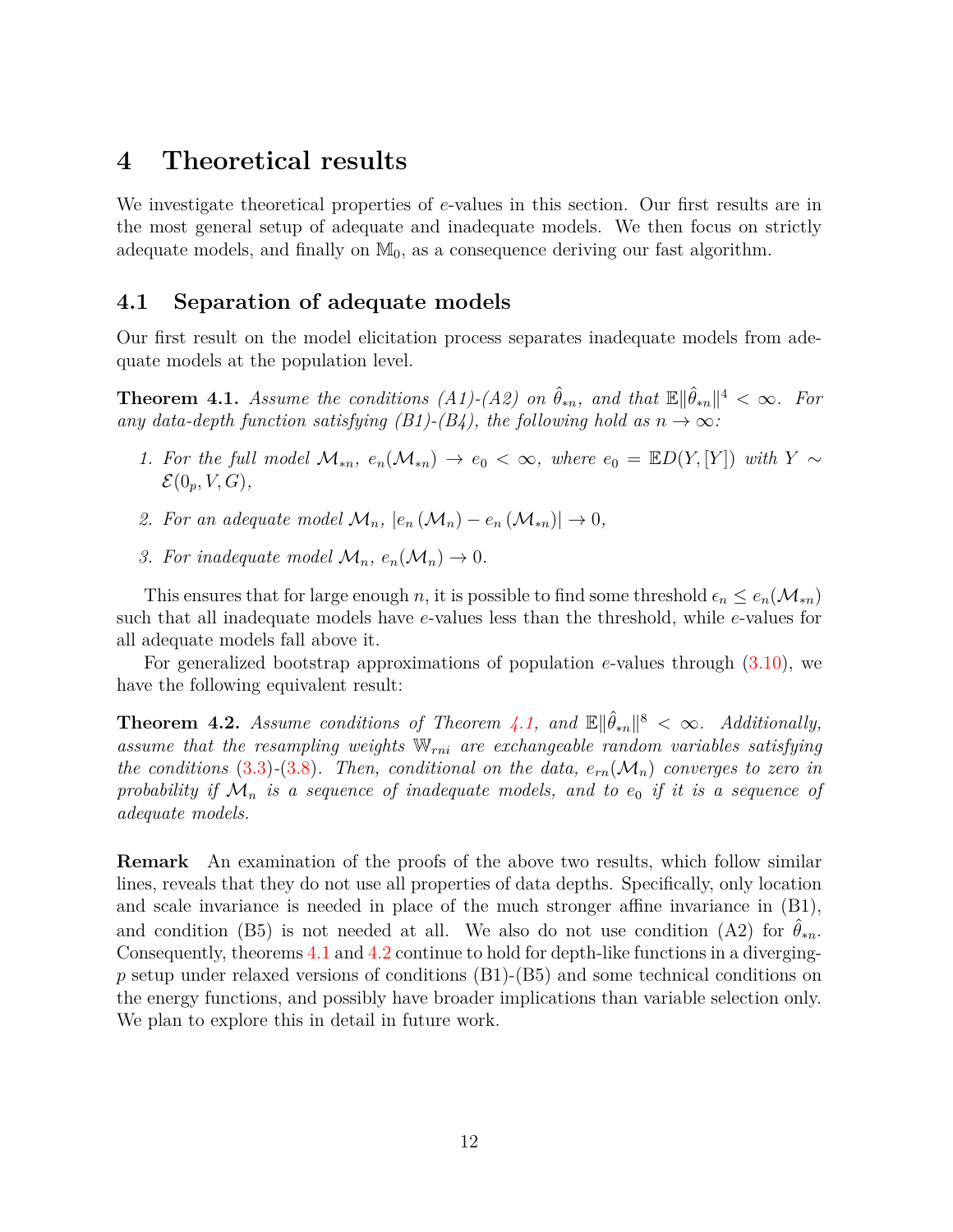### <span id="page-11-0"></span>**4 Theoretical results**

We investigate theoretical properties of *e*-values in this section. Our first results are in the most general setup of adequate and inadequate models. We then focus on strictly adequate models, and finally on  $\mathbb{M}_0$ , as a consequence deriving our fast algorithm.

#### **4.1 Separation of adequate models**

Our first result on the model elicitation process separates inadequate models from adequate models at the population level.

<span id="page-11-2"></span>**Theorem 4.1.** *Assume the conditions (A1)-(A2) on*  $\hat{\theta}_{*n}$ , and that  $\mathbb{E} \|\hat{\theta}_{*n}\|^4 < \infty$ . For any data-depth function satisfying  $(B1)-(B4)$ , the following hold as  $n \to \infty$ :

- *1.* For the full model  $\mathcal{M}_{*n}$ ,  $e_n(\mathcal{M}_{*n}) \to e_0 < \infty$ , where  $e_0 = \mathbb{E}D(Y,[Y])$  with  $Y \sim$  $\mathcal{E}(0_p, V, G)$ ,
- 2. For an adequate model  $\mathcal{M}_n$ ,  $|e_n(\mathcal{M}_n) e_n(\mathcal{M}_{*n})| \to 0$ ,
- *3. For inadequate model*  $\mathcal{M}_n$ ,  $e_n(\mathcal{M}_n) \to 0$ .

This ensures that for large enough *n*, it is possible to find some threshold  $\epsilon_n \leq e_n(\mathcal{M}_{*n})$ such that all inadequate models have *e*-values less than the threshold, while *e*-values for all adequate models fall above it.

For generalized bootstrap approximations of population *e*-values through [\(3.10\)](#page-9-1), we have the following equivalent result:

<span id="page-11-1"></span>**Theorem 4.2.** *Assume conditions of Theorem [4.1,](#page-11-2)* and  $\mathbb{E} \Vert \hat{\theta}_{*n} \Vert^8 < \infty$ . *Additionally, assume that the resampling weights* W*rni are exchangeable random variables satisfying the conditions* [\(3.3\)](#page-8-1)–[\(3.8\)](#page-8-2). Then, conditional on the data,  $e_{rn}(\mathcal{M}_n)$  converges to zero in probability if  $\mathcal{M}_n$  is a sequence of inadequate models, and to  $e_0$  if it is a sequence of *adequate models.*

**Remark** An examination of the proofs of the above two results, which follow similar lines, reveals that they do not use all properties of data depths. Specifically, only location and scale invariance is needed in place of the much stronger affine invariance in (B1), and condition (B5) is not needed at all. We also do not use condition (A2) for  $\theta_{*n}$ . Consequently, theorems [4.1](#page-11-2) and [4.2](#page-11-1) continue to hold for depth-like functions in a diverging*p* setup under relaxed versions of conditions (B1)-(B5) and some technical conditions on the energy functions, and possibly have broader implications than variable selection only. We plan to explore this in detail in future work.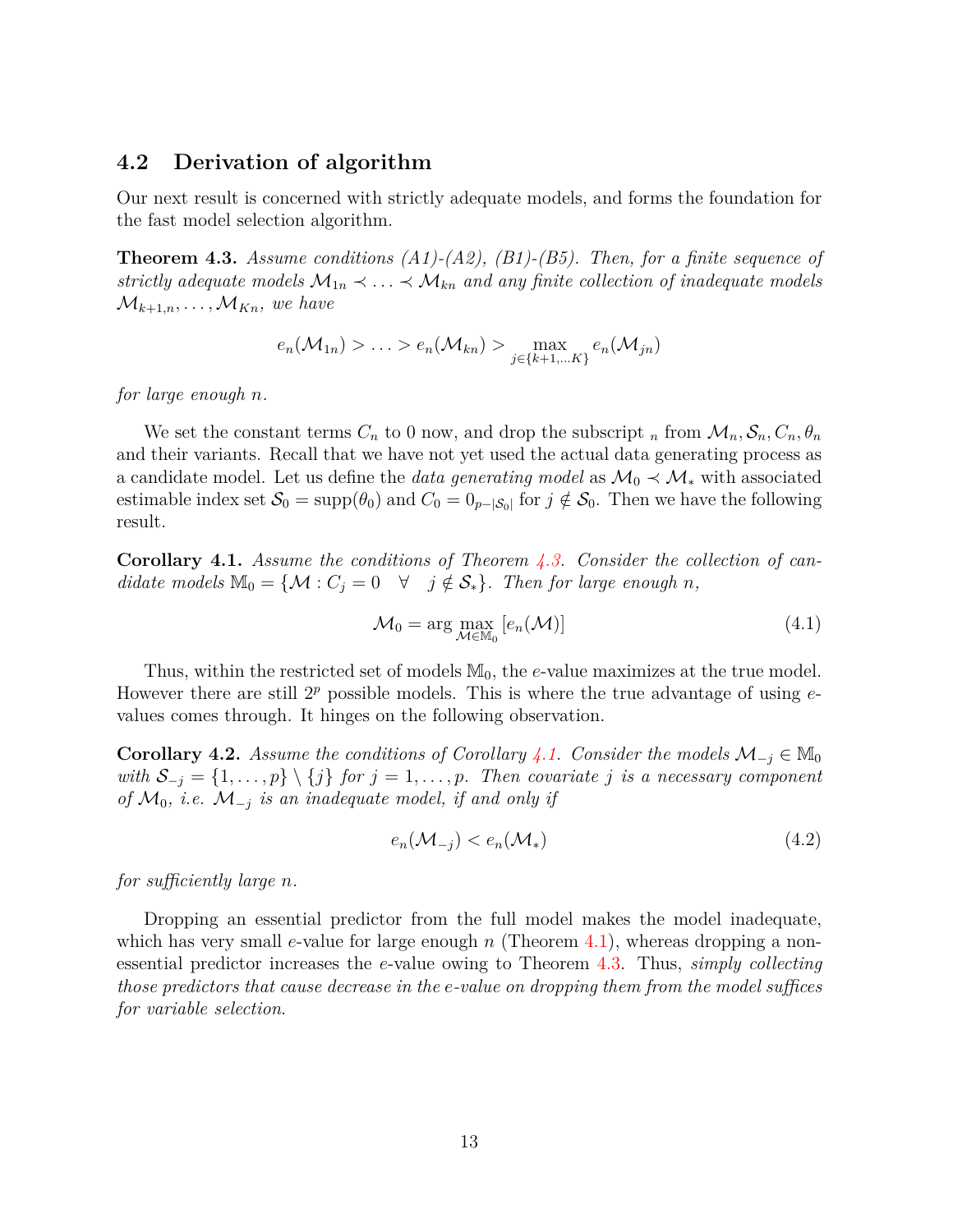#### <span id="page-12-2"></span>**4.2 Derivation of algorithm**

Our next result is concerned with strictly adequate models, and forms the foundation for the fast model selection algorithm.

<span id="page-12-0"></span>**Theorem 4.3.** *Assume conditions (A1)-(A2), (B1)-(B5). Then, for a finite sequence of strictly adequate models*  $M_{1n} \prec \ldots \prec M_{kn}$  *and any finite collection of inadequate models*  $\mathcal{M}_{k+1,n}, \ldots, \mathcal{M}_{Kn}$ , we have

$$
e_n(\mathcal{M}_{1n}) > \ldots > e_n(\mathcal{M}_{kn}) > \max_{j \in \{k+1,\ldots,K\}} e_n(\mathcal{M}_{jn})
$$

*for large enough n.*

We set the constant terms  $C_n$  to 0 now, and drop the subscript  $_n$  from  $\mathcal{M}_n$ ,  $\mathcal{S}_n$ ,  $C_n$ ,  $\theta_n$ and their variants. Recall that we have not yet used the actual data generating process as a candidate model. Let us define the *data generating model* as  $\mathcal{M}_0 \prec \mathcal{M}_*$  with associated estimable index set  $S_0 = \text{supp}(\theta_0)$  and  $C_0 = 0_{p-|\mathcal{S}_0|}$  for  $j \notin \mathcal{S}_0$ . Then we have the following result.

<span id="page-12-1"></span>**Corollary 4.1.** *Assume the conditions of Theorem [4.3.](#page-12-0) Consider the collection of candidate models*  $\mathbb{M}_0 = \{ \mathcal{M} : C_j = 0 \quad \forall \quad j \notin \mathcal{S}_* \}$ *. Then for large enough n,* 

$$
\mathcal{M}_0 = \arg\max_{\mathcal{M} \in \mathbb{M}_0} \left[ e_n(\mathcal{M}) \right] \tag{4.1}
$$

Thus, within the restricted set of models  $M_0$ , the *e*-value maximizes at the true model. However there are still 2*<sup>p</sup>* possible models. This is where the true advantage of using *e*values comes through. It hinges on the following observation.

<span id="page-12-3"></span>**Corollary 4.2.** *Assume the conditions of Corollary* [4.1.](#page-12-1) *Consider the models*  $\mathcal{M}_{-i} \in \mathbb{M}_0$ *with*  $\mathcal{S}_{-j} = \{1, \ldots, p\} \setminus \{j\}$  *for*  $j = 1, \ldots, p$ *. Then covariate j is a necessary component of*  $\mathcal{M}_0$ , *i.e.*  $\mathcal{M}_{-i}$  *is an inadequate model, if and only if* 

$$
e_n(\mathcal{M}_{-j}) < e_n(\mathcal{M}_*) \tag{4.2}
$$

*for sufficiently large n.*

Dropping an essential predictor from the full model makes the model inadequate, which has very small *e*-value for large enough *n* (Theorem [4.1\)](#page-11-2), whereas dropping a nonessential predictor increases the *e*-value owing to Theorem [4.3.](#page-12-0) Thus, *simply collecting those predictors that cause decrease in the e-value on dropping them from the model suffices for variable selection*.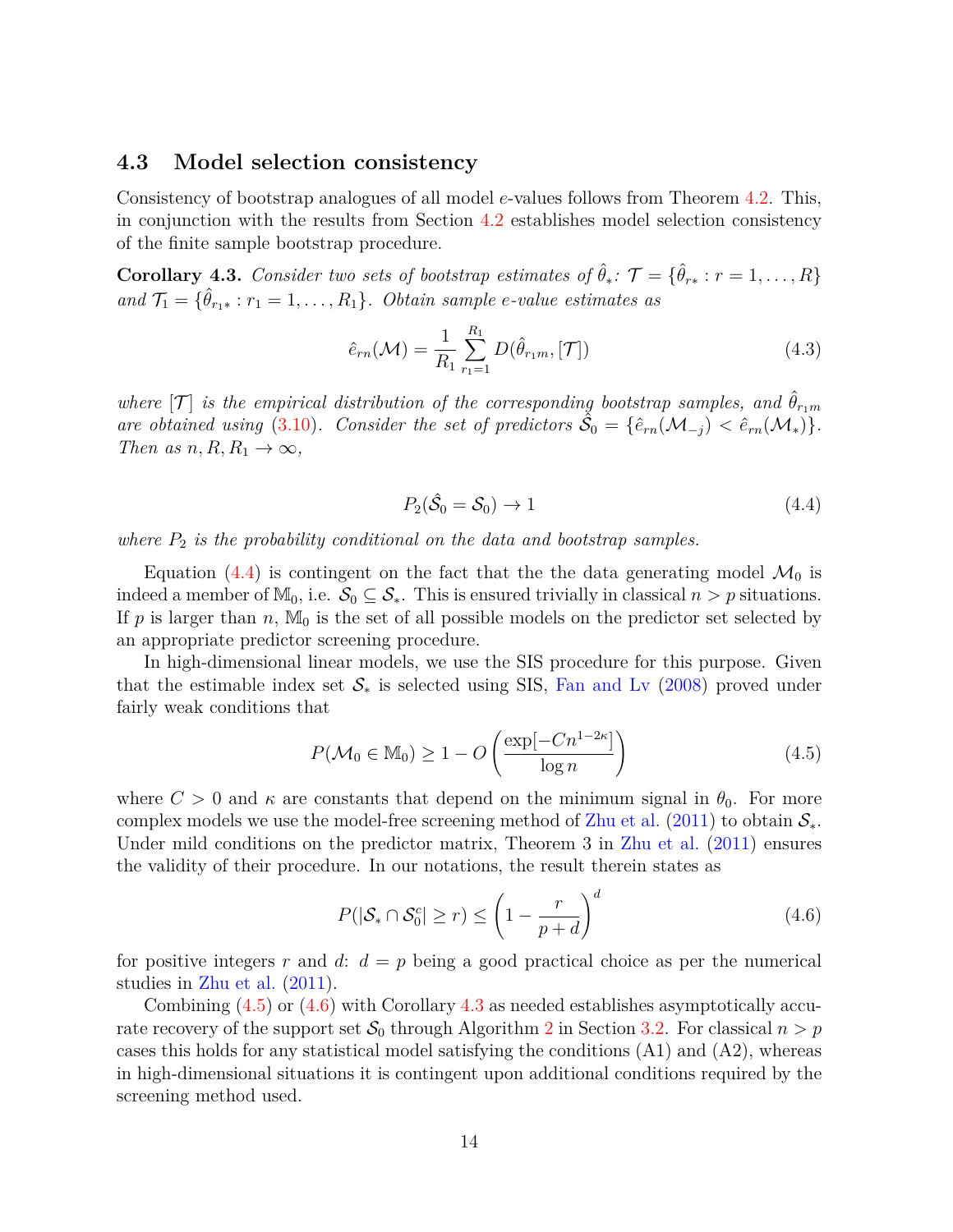#### **4.3 Model selection consistency**

Consistency of bootstrap analogues of all model *e*-values follows from Theorem [4.2.](#page-11-1) This, in conjunction with the results from Section [4.2](#page-12-2) establishes model selection consistency of the finite sample bootstrap procedure.

<span id="page-13-3"></span>**Corollary 4.3.** *Consider two sets of bootstrap estimates of*  $\hat{\theta}_*$ :  $\mathcal{T} = \{\hat{\theta}_{r*}: r = 1, \ldots, R\}$ *and*  $\mathcal{T}_1 = \{\hat{\theta}_{r_1*}: r_1 = 1, \ldots, R_1\}$ *. Obtain sample e-value estimates as* 

$$
\hat{e}_{rn}(\mathcal{M}) = \frac{1}{R_1} \sum_{r_1=1}^{R_1} D(\hat{\theta}_{r_1m}, [\mathcal{T}])
$$
\n(4.3)

*where*  $[T]$  *is the empirical distribution of the corresponding bootstrap samples, and*  $\hat{\theta}_{r_1m}$ are obtained using [\(3.10\)](#page-9-1). Consider the set of predictors  $\tilde{S}_0 = {\hat{e}_{rn}(M_{-j}) \le \hat{e}_{rn}(M_*)}.$ *Then as n, R, R*<sub>1</sub>  $\rightarrow \infty$ *,* 

<span id="page-13-4"></span><span id="page-13-1"></span><span id="page-13-0"></span>
$$
P_2(\hat{\mathcal{S}}_0 = \mathcal{S}_0) \to 1\tag{4.4}
$$

*where P*<sup>2</sup> *is the probability conditional on the data and bootstrap samples.*

Equation [\(4.4\)](#page-13-0) is contingent on the fact that the the data generating model  $\mathcal{M}_0$  is indeed a member of  $\mathbb{M}_0$ , i.e.  $\mathcal{S}_0 \subseteq \mathcal{S}_*$ . This is ensured trivially in classical  $n > p$  situations. If  $p$  is larger than  $n$ ,  $M_0$  is the set of all possible models on the predictor set selected by an appropriate predictor screening procedure.

In high-dimensional linear models, we use the SIS procedure for this purpose. Given that the estimable index set  $\mathcal{S}_*$  is selected using SIS, [Fan and Lv](#page-24-5) [\(2008\)](#page-24-5) proved under fairly weak conditions that

$$
P(\mathcal{M}_0 \in \mathbb{M}_0) \ge 1 - O\left(\frac{\exp[-Cn^{1-2\kappa}]}{\log n}\right)
$$
\n(4.5)

where  $C > 0$  and  $\kappa$  are constants that depend on the minimum signal in  $\theta_0$ . For more complex models we use the model-free screening method of [Zhu et al.](#page-26-10) [\(2011\)](#page-26-10) to obtain  $\mathcal{S}_{*}$ . Under mild conditions on the predictor matrix, Theorem 3 in [Zhu et al.](#page-26-10) [\(2011\)](#page-26-10) ensures the validity of their procedure. In our notations, the result therein states as

<span id="page-13-2"></span>
$$
P(|\mathcal{S}_* \cap \mathcal{S}_0^c| \ge r) \le \left(1 - \frac{r}{p+d}\right)^d \tag{4.6}
$$

for positive integers  $r$  and  $d: d = p$  being a good practical choice as per the numerical studies in [Zhu et al.](#page-26-10) [\(2011\)](#page-26-10).

Combining [\(4.5\)](#page-13-1) or [\(4.6\)](#page-13-2) with Corollary [4.3](#page-13-3) as needed establishes asymptotically accurate recovery of the support set  $S_0$  through Algorithm [2](#page-10-0) in Section [3.2.](#page-9-2) For classical  $n > p$ cases this holds for any statistical model satisfying the conditions  $(A1)$  and  $(A2)$ , whereas in high-dimensional situations it is contingent upon additional conditions required by the screening method used.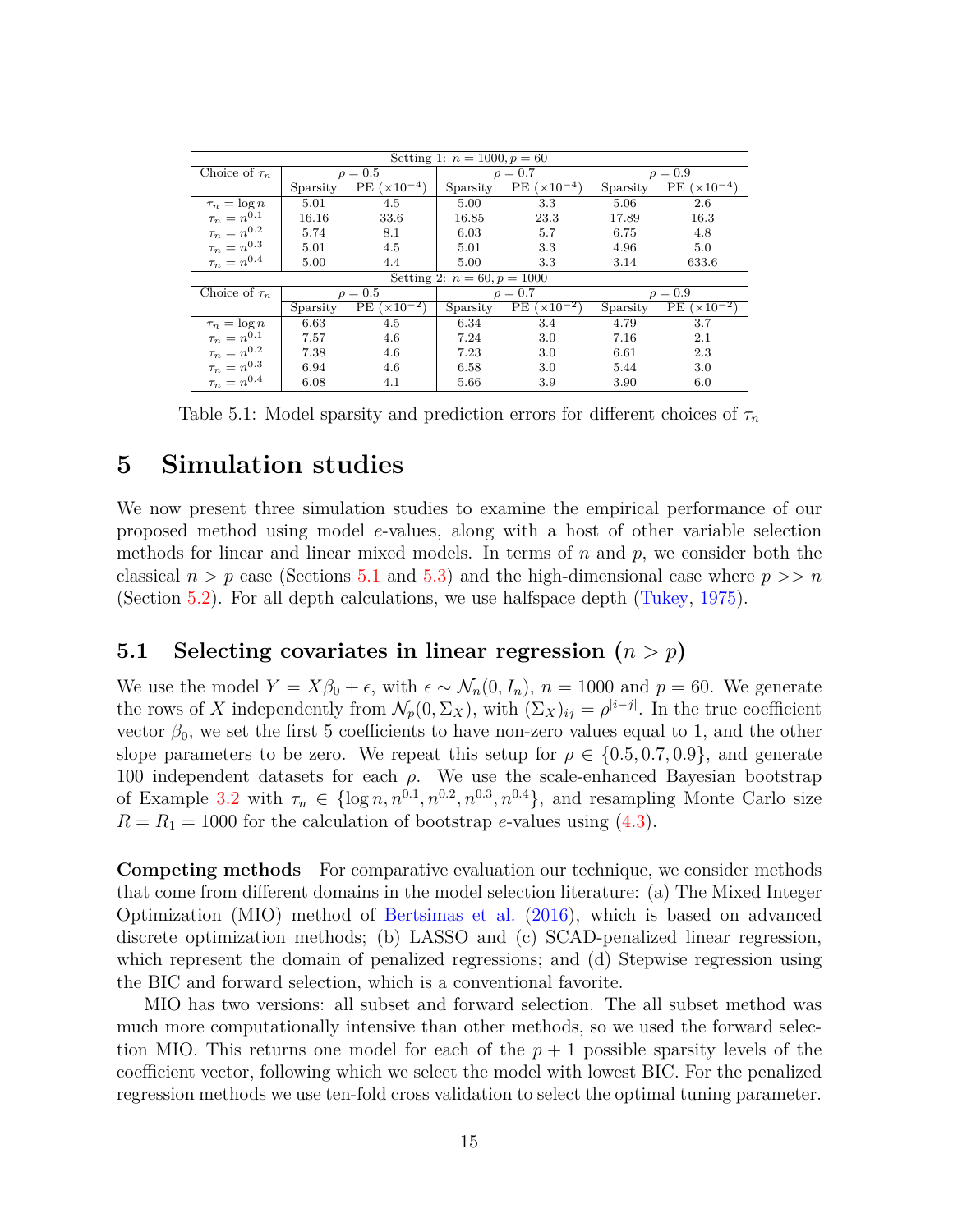| Setting 1: $n = 1000, p = 60$ |              |                 |              |                    |              |                                             |
|-------------------------------|--------------|-----------------|--------------|--------------------|--------------|---------------------------------------------|
| Choice of $\tau_n$            | $\rho = 0.5$ |                 | $\rho = 0.7$ |                    | $\rho = 0.9$ |                                             |
|                               | Sparsity     | $PE (x10^{-4})$ | Sparsity     | $PE(x10^{-4})$     | Sparsity     | $\overline{\text{PE}}$ ( $\times 10^{-4}$ ) |
| $\tau_n = \log n$             | 5.01         | 4.5             | 5.00         | 3.3                | 5.06         | 2.6                                         |
| $\tau_n = n^{0.1}$            | 16.16        | 33.6            | 16.85        | 23.3               | 17.89        | 16.3                                        |
| $\tau_n = n^{0.2}$            | 5.74         | 8.1             | 6.03         | 5.7                | 6.75         | 4.8                                         |
| $\tau_n = n^{0.3}$            | 5.01         | 4.5             | 5.01         | 3.3                | 4.96         | 5.0                                         |
| $\tau_n=n^{0.4}$              | 5.00         | 4.4             | 5.00         | 3.3                | 3.14         | 633.6                                       |
| Setting 2: $n = 60, p = 1000$ |              |                 |              |                    |              |                                             |
| Choice of $\tau_n$            | $\rho = 0.5$ |                 | $\rho = 0.7$ |                    | $\rho = 0.9$ |                                             |
|                               | Sparsity     | $PE (x10^-$     | Sparsity     | PE<br>$(x10^{-2})$ | Sparsity     | PE $(\times 10^{-2}$                        |
| $\tau_n = \log n$             | 6.63         | 4.5             | 6.34         | 3.4                | 4.79         | 3.7                                         |
| $\tau_n = n^{0.1}$            | 7.57         | 4.6             | 7.24         | 3.0                | 7.16         | 2.1                                         |
| $\tau_n=n^{0.2}$              | 7.38         | 4.6             | 7.23         | 3.0                | 6.61         | 2.3                                         |
| $\tau_n=n^{0.3}$              | 6.94         | 4.6             | 6.58         | 3.0                | 5.44         | 3.0                                         |
| $\tau_n = n^{0.4}$            | 6.08         | 4.1             | 5.66         | 3.9                | 3.90         | 6.0                                         |

<span id="page-14-2"></span>Table 5.1: Model sparsity and prediction errors for different choices of  $\tau_n$ 

### <span id="page-14-0"></span>**5 Simulation studies**

We now present three simulation studies to examine the empirical performance of our proposed method using model *e*-values, along with a host of other variable selection methods for linear and linear mixed models. In terms of *n* and *p*, we consider both the classical  $n > p$  case (Sections [5.1](#page-14-1) and [5.3\)](#page-17-0) and the high-dimensional case where  $p >> n$ (Section [5.2\)](#page-16-0). For all depth calculations, we use halfspace depth [\(Tukey,](#page-26-8) [1975\)](#page-26-8).

### <span id="page-14-1"></span>**5.1 Selecting covariates in linear regression (***n > p***)**

We use the model  $Y = X\beta_0 + \epsilon$ , with  $\epsilon \sim \mathcal{N}_n(0, I_n)$ ,  $n = 1000$  and  $p = 60$ . We generate the rows of *X* independently from  $\mathcal{N}_p(0, \Sigma_X)$ , with  $(\Sigma_X)_{ij} = \rho^{|i-j|}$ . In the true coefficient vector  $\beta_0$ , we set the first 5 coefficients to have non-zero values equal to 1, and the other slope parameters to be zero. We repeat this setup for  $\rho \in \{0.5, 0.7, 0.9\}$ , and generate 100 independent datasets for each  $\rho$ . We use the scale-enhanced Bayesian bootstrap of Example [3.2](#page-8-3) with  $\tau_n \in \{\log n, n^{0.1}, n^{0.2}, n^{0.3}, n^{0.4}\},\$ and resampling Monte Carlo size  $R = R_1 = 1000$  for the calculation of bootstrap *e*-values using [\(4.3\)](#page-13-4).

**Competing methods** For comparative evaluation our technique, we consider methods that come from different domains in the model selection literature: (a) The Mixed Integer Optimization (MIO) method of [Bertsimas et al.](#page-24-0) [\(2016\)](#page-24-0), which is based on advanced discrete optimization methods; (b) LASSO and (c) SCAD-penalized linear regression, which represent the domain of penalized regressions; and (d) Stepwise regression using the BIC and forward selection, which is a conventional favorite.

MIO has two versions: all subset and forward selection. The all subset method was much more computationally intensive than other methods, so we used the forward selection MIO. This returns one model for each of the  $p+1$  possible sparsity levels of the coefficient vector, following which we select the model with lowest BIC. For the penalized regression methods we use ten-fold cross validation to select the optimal tuning parameter.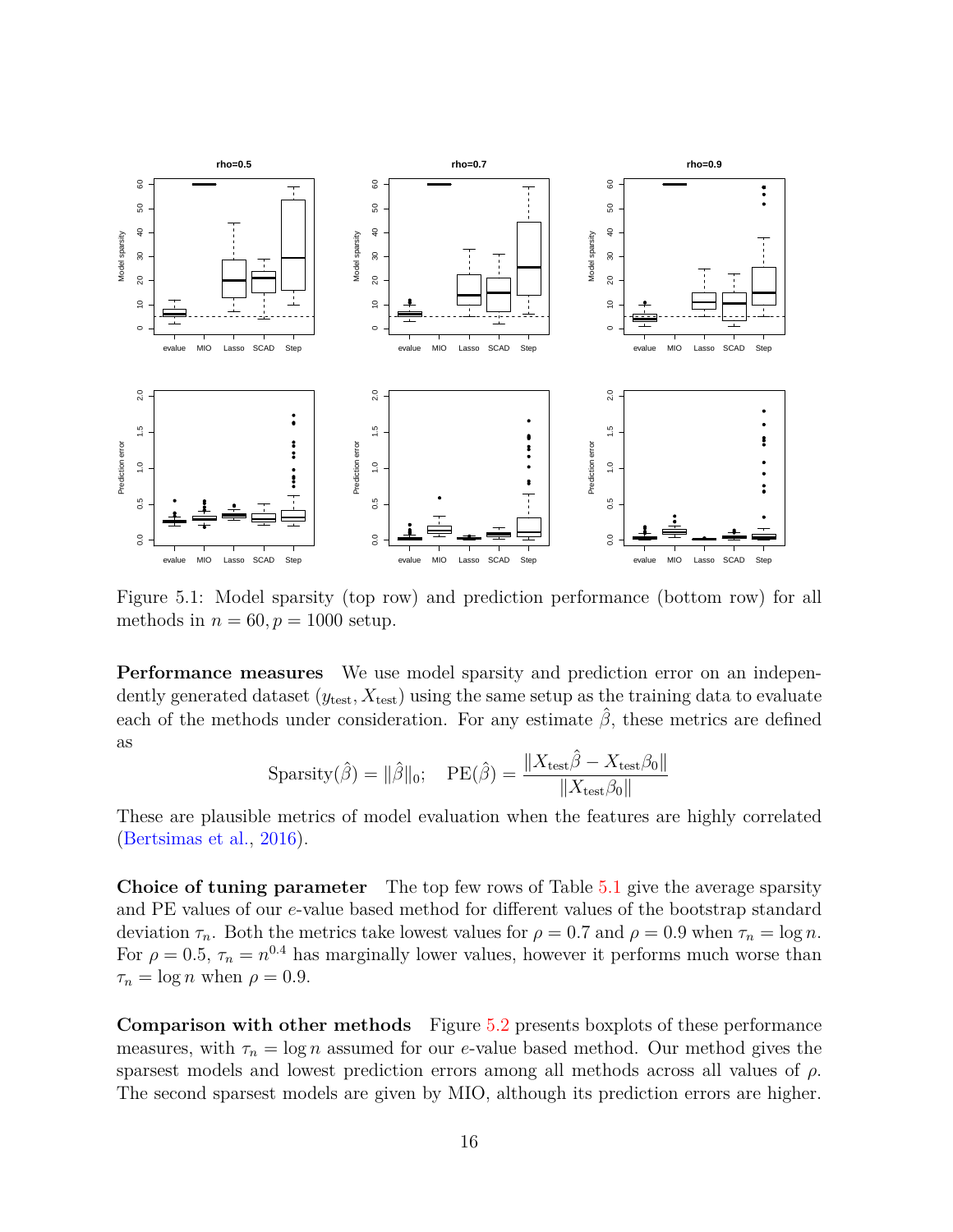

<span id="page-15-0"></span>Figure 5.1: Model sparsity (top row) and prediction performance (bottom row) for all methods in  $n = 60, p = 1000$  setup.

**Performance measures** We use model sparsity and prediction error on an independently generated dataset  $(y_{\text{test}}, X_{\text{test}})$  using the same setup as the training data to evaluate each of the methods under consideration. For any estimate  $\hat{\beta}$ , these metrics are defined as

$$
Sparsity(\hat{\beta}) = \|\hat{\beta}\|_0; \quad PE(\hat{\beta}) = \frac{\|X_{\text{test}}\hat{\beta} - X_{\text{test}}\beta_0\|}{\|X_{\text{test}}\beta_0\|}
$$

These are plausible metrics of model evaluation when the features are highly correlated [\(Bertsimas et al.,](#page-24-0) [2016\)](#page-24-0).

**Choice of tuning parameter** The top few rows of Table [5.1](#page-14-2) give the average sparsity and PE values of our *e*-value based method for different values of the bootstrap standard deviation  $\tau_n$ . Both the metrics take lowest values for  $\rho = 0.7$  and  $\rho = 0.9$  when  $\tau_n = \log n$ . For  $\rho = 0.5$ ,  $\tau_n = n^{0.4}$  has marginally lower values, however it performs much worse than  $\tau_n = \log n$  when  $\rho = 0.9$ .

**Comparison with other methods** Figure [5.2](#page-16-1) presents boxplots of these performance measures, with  $\tau_n = \log n$  assumed for our *e*-value based method. Our method gives the sparsest models and lowest prediction errors among all methods across all values of *ρ*. The second sparsest models are given by MIO, although its prediction errors are higher.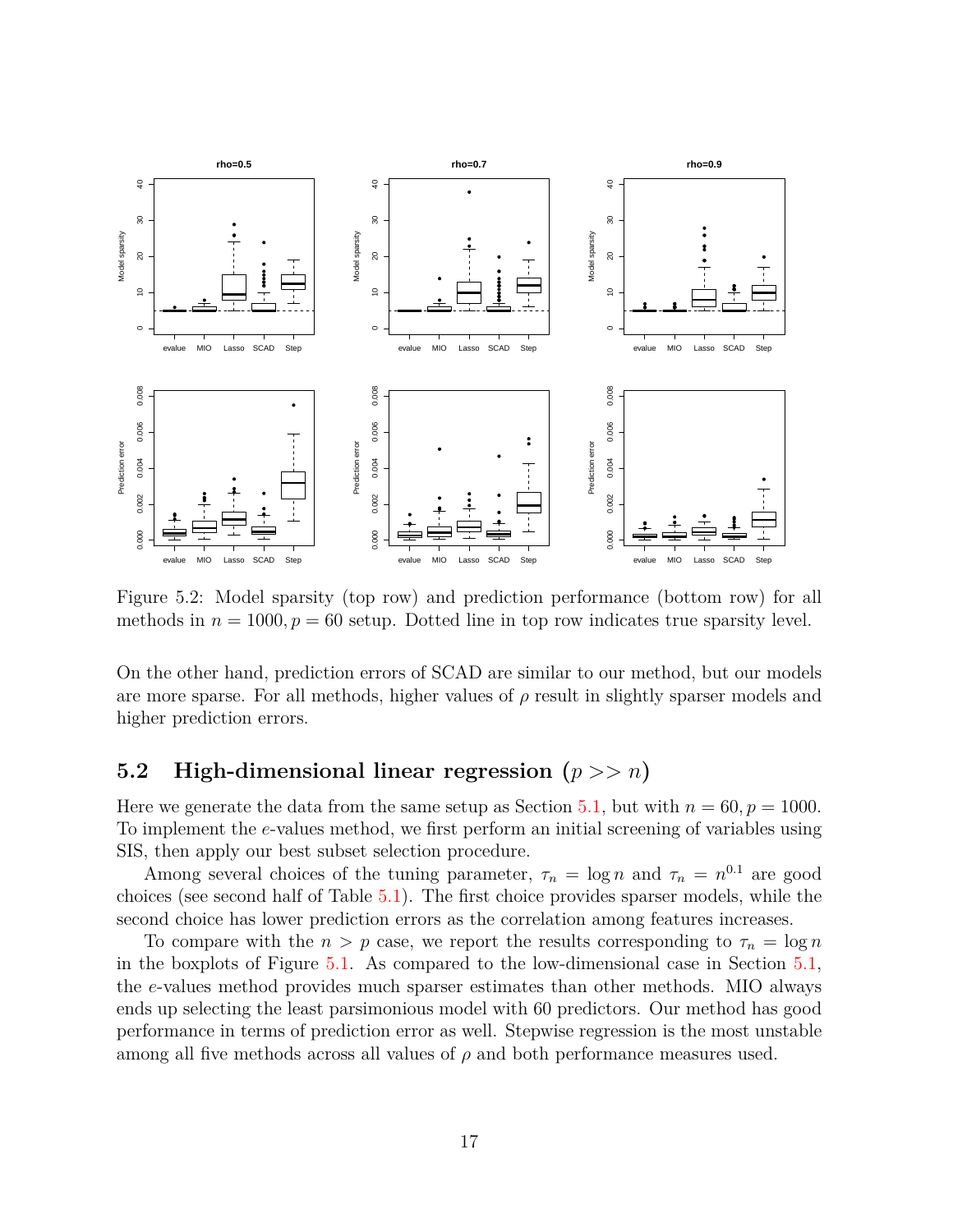

<span id="page-16-1"></span>Figure 5.2: Model sparsity (top row) and prediction performance (bottom row) for all methods in  $n = 1000, p = 60$  setup. Dotted line in top row indicates true sparsity level.

On the other hand, prediction errors of SCAD are similar to our method, but our models are more sparse. For all methods, higher values of *ρ* result in slightly sparser models and higher prediction errors.

### <span id="page-16-0"></span>**5.2 High-dimensional linear regression (***p >> n***)**

Here we generate the data from the same setup as Section [5.1,](#page-14-1) but with  $n = 60, p = 1000$ . To implement the *e*-values method, we first perform an initial screening of variables using SIS, then apply our best subset selection procedure.

Among several choices of the tuning parameter,  $\tau_n = \log n$  and  $\tau_n = n^{0.1}$  are good choices (see second half of Table [5.1\)](#page-14-2). The first choice provides sparser models, while the second choice has lower prediction errors as the correlation among features increases.

To compare with the  $n > p$  case, we report the results corresponding to  $\tau_n = \log n$ in the boxplots of Figure [5.1.](#page-15-0) As compared to the low-dimensional case in Section [5.1,](#page-14-1) the *e*-values method provides much sparser estimates than other methods. MIO always ends up selecting the least parsimonious model with 60 predictors. Our method has good performance in terms of prediction error as well. Stepwise regression is the most unstable among all five methods across all values of  $\rho$  and both performance measures used.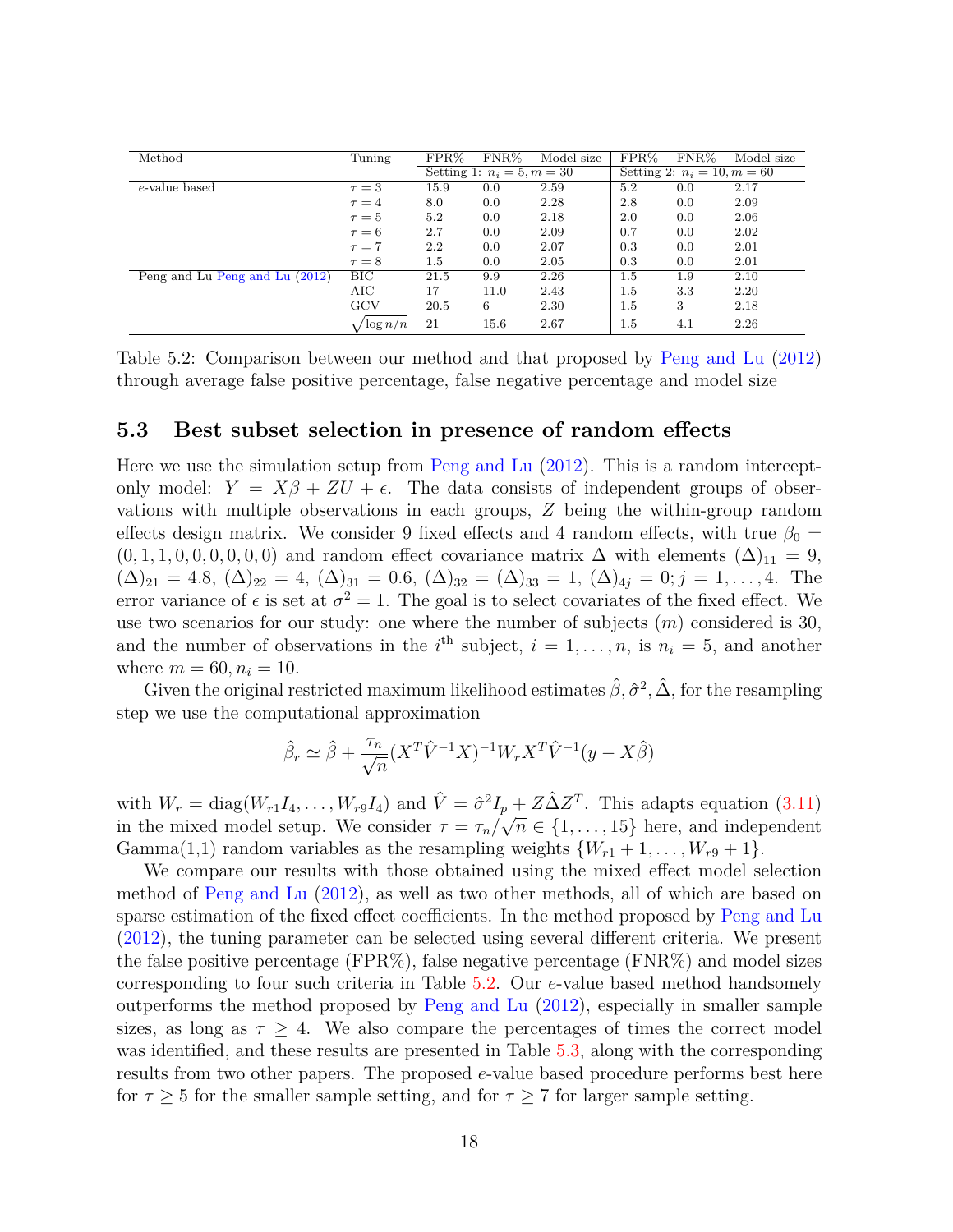| Method                                                        | Tuning            | $FPR\%$                      | $FNR\%$ | Model size                    | $FPR\%$ | $\rm FNR\%$ | Model size |
|---------------------------------------------------------------|-------------------|------------------------------|---------|-------------------------------|---------|-------------|------------|
|                                                               |                   | Setting 1: $n_i = 5, m = 30$ |         | Setting 2: $n_i = 10, m = 60$ |         |             |            |
| e-value based                                                 | $\tau = 3$        | 15.9                         | 0.0     | 2.59                          | 5.2     | 0.0         | 2.17       |
|                                                               | $\tau=4$          | 8.0                          | 0.0     | 2.28                          | 2.8     | 0.0         | 2.09       |
|                                                               | $\tau=5$          | 5.2                          | 0.0     | 2.18                          | 2.0     | 0.0         | 2.06       |
|                                                               | $\tau = 6$        | 2.7                          | 0.0     | 2.09                          | 0.7     | 0.0         | 2.02       |
|                                                               | $\tau = 7$        | 2.2                          | 0.0     | 2.07                          | 0.3     | 0.0         | 2.01       |
|                                                               | $\tau = 8$        | $1.5\,$                      | 0.0     | 2.05                          | 0.3     | 0.0         | 2.01       |
| $\overline{\text{Peng}}$ and Lu $\text{Peng}$ and Lu $(2012)$ | BIC               | 21.5                         | 9.9     | 2.26                          | $1.5\,$ | 1.9         | 2.10       |
|                                                               | AIC               | 17                           | 11.0    | 2.43                          | $1.5\,$ | 3.3         | 2.20       |
|                                                               | GCV               | 20.5                         | 6       | 2.30                          | $1.5\,$ | 3           | 2.18       |
|                                                               | $\sqrt{\log n/n}$ | 21                           | 15.6    | 2.67                          | $1.5\,$ | 4.1         | 2.26       |

<span id="page-17-1"></span>Table 5.2: Comparison between our method and that proposed by [Peng and Lu](#page-25-10) [\(2012\)](#page-25-10) through average false positive percentage, false negative percentage and model size

#### <span id="page-17-0"></span>**5.3 Best subset selection in presence of random effects**

Here we use the simulation setup from [Peng and Lu](#page-25-10) [\(2012\)](#page-25-10). This is a random interceptonly model:  $Y = X\beta + ZU + \epsilon$ . The data consists of independent groups of observations with multiple observations in each groups, *Z* being the within-group random effects design matrix. We consider 9 fixed effects and 4 random effects, with true  $\beta_0 =$  $(0,1,1,0,0,0,0,0,0)$  and random effect covariance matrix  $\Delta$  with elements  $(\Delta)_{11} = 9$ ,  $(\Delta)_{21} = 4.8, \, (\Delta)_{22} = 4, \, (\Delta)_{31} = 0.6, \, (\Delta)_{32} = (\Delta)_{33} = 1, \, (\Delta)_{4j} = 0; j = 1, \ldots, 4.$  The error variance of  $\epsilon$  is set at  $\sigma^2 = 1$ . The goal is to select covariates of the fixed effect. We use two scenarios for our study: one where the number of subjects (*m*) considered is 30, and the number of observations in the  $i^{\text{th}}$  subject,  $i = 1, \ldots, n$ , is  $n_i = 5$ , and another where  $m = 60, n_i = 10$ .

Given the original restricted maximum likelihood estimates  $\hat{\beta}, \hat{\sigma}^2, \hat{\Delta}$ , for the resampling step we use the computational approximation

$$
\hat{\beta}_r \simeq \hat{\beta} + \frac{\tau_n}{\sqrt{n}} (X^T \hat{V}^{-1} X)^{-1} W_r X^T \hat{V}^{-1} (y - X \hat{\beta})
$$

with  $W_r = \text{diag}(W_{r1}I_4, \dots, W_{r9}I_4)$  and  $\hat{V} = \hat{\sigma}^2 I_p + Z \hat{\Delta} Z^T$ . This adapts equation [\(3.11\)](#page-9-0) in the mixed model setup. We consider  $\tau = \tau_n/\sqrt{n} \in \{1, \ldots, 15\}$  here, and independent Gamma(1,1) random variables as the resampling weights  $\{W_{r1} + 1, \ldots, W_{r9} + 1\}$ .

We compare our results with those obtained using the mixed effect model selection method of [Peng and Lu](#page-25-10) [\(2012\)](#page-25-10), as well as two other methods, all of which are based on sparse estimation of the fixed effect coefficients. In the method proposed by [Peng and Lu](#page-25-10) [\(2012\)](#page-25-10), the tuning parameter can be selected using several different criteria. We present the false positive percentage (FPR%), false negative percentage (FNR%) and model sizes corresponding to four such criteria in Table [5.2.](#page-17-1) Our *e*-value based method handsomely outperforms the method proposed by [Peng and Lu](#page-25-10) [\(2012\)](#page-25-10), especially in smaller sample sizes, as long as  $\tau \geq 4$ . We also compare the percentages of times the correct model was identified, and these results are presented in Table [5.3,](#page-18-1) along with the corresponding results from two other papers. The proposed *e*-value based procedure performs best here for  $\tau \geq 5$  for the smaller sample setting, and for  $\tau \geq 7$  for larger sample setting.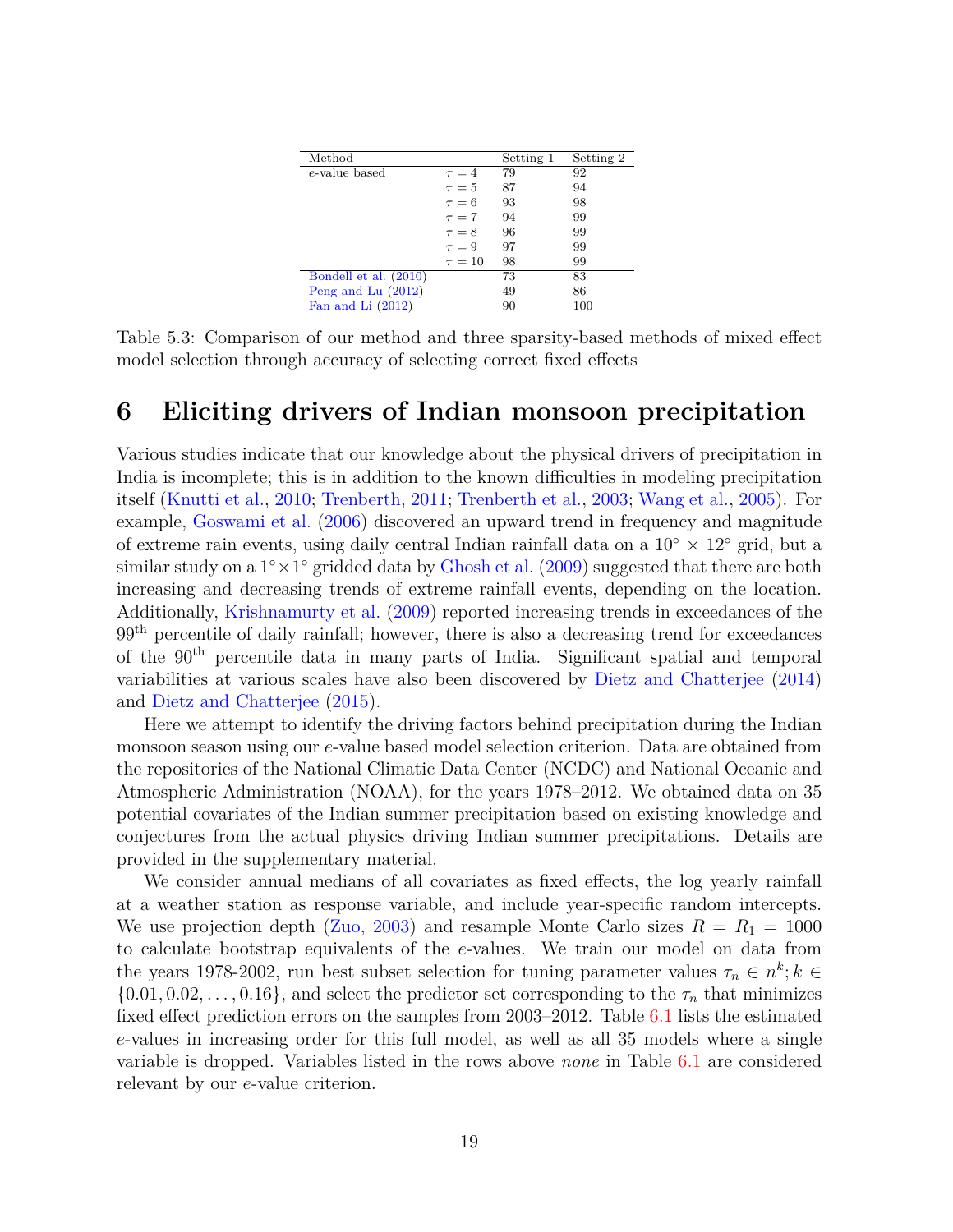| Method                |             | Setting 1 | Setting 2 |
|-----------------------|-------------|-----------|-----------|
| e-value based         | $\tau = 4$  | 79        | 92        |
|                       | $\tau = 5$  | 87        | 94        |
|                       | $\tau = 6$  | 93        | 98        |
|                       | $\tau = 7$  | 94        | 99        |
|                       | $\tau = 8$  | 96        | 99        |
|                       | $\tau = 9$  | 97        | 99        |
|                       | $\tau = 10$ | 98        | 99        |
| Bondell et al. (2010) |             | 73        | 83        |
| Peng and Lu $(2012)$  |             | 49        | 86        |
| Fan and Li (2012)     |             | 90        | 100       |

<span id="page-18-1"></span>Table 5.3: Comparison of our method and three sparsity-based methods of mixed effect model selection through accuracy of selecting correct fixed effects

### <span id="page-18-0"></span>**6 Eliciting drivers of Indian monsoon precipitation**

Various studies indicate that our knowledge about the physical drivers of precipitation in India is incomplete; this is in addition to the known difficulties in modeling precipitation itself [\(Knutti et al.,](#page-24-9) [2010;](#page-24-9) [Trenberth,](#page-26-11) [2011;](#page-26-11) [Trenberth et al.,](#page-26-12) [2003;](#page-26-12) [Wang et al.,](#page-26-13) [2005\)](#page-26-13). For example, [Goswami et al.](#page-24-10) [\(2006\)](#page-24-10) discovered an upward trend in frequency and magnitude of extreme rain events, using daily central Indian rainfall data on a  $10° \times 12°$  grid, but a similar study on a 1<sup>°</sup> × 1<sup>°</sup> gridded data by [Ghosh et al.](#page-24-11) [\(2009\)](#page-24-11) suggested that there are both increasing and decreasing trends of extreme rainfall events, depending on the location. Additionally, [Krishnamurty et al.](#page-25-11) [\(2009\)](#page-25-11) reported increasing trends in exceedances of the 99<sup>th</sup> percentile of daily rainfall; however, there is also a decreasing trend for exceedances of the 90th percentile data in many parts of India. Significant spatial and temporal variabilities at various scales have also been discovered by [Dietz and Chatterjee](#page-24-12) [\(2014\)](#page-24-12) and [Dietz and Chatterjee](#page-24-13) [\(2015\)](#page-24-13).

Here we attempt to identify the driving factors behind precipitation during the Indian monsoon season using our *e*-value based model selection criterion. Data are obtained from the repositories of the National Climatic Data Center (NCDC) and National Oceanic and Atmospheric Administration (NOAA), for the years 1978–2012. We obtained data on 35 potential covariates of the Indian summer precipitation based on existing knowledge and conjectures from the actual physics driving Indian summer precipitations. Details are provided in the supplementary material.

We consider annual medians of all covariates as fixed effects, the log yearly rainfall at a weather station as response variable, and include year-specific random intercepts. We use projection depth ( $\text{Zuo}, 2003$ ) and resample Monte Carlo sizes  $R = R_1 = 1000$ to calculate bootstrap equivalents of the *e*-values. We train our model on data from the years 1978-2002, run best subset selection for tuning parameter values  $\tau_n \in n^k; k \in$  $\{0.01, 0.02, \ldots, 0.16\}$ , and select the predictor set corresponding to the  $\tau_n$  that minimizes fixed effect prediction errors on the samples from 2003–2012. Table [6.1](#page-19-0) lists the estimated *e*-values in increasing order for this full model, as well as all 35 models where a single variable is dropped. Variables listed in the rows above *none* in Table [6.1](#page-19-0) are considered relevant by our *e*-value criterion.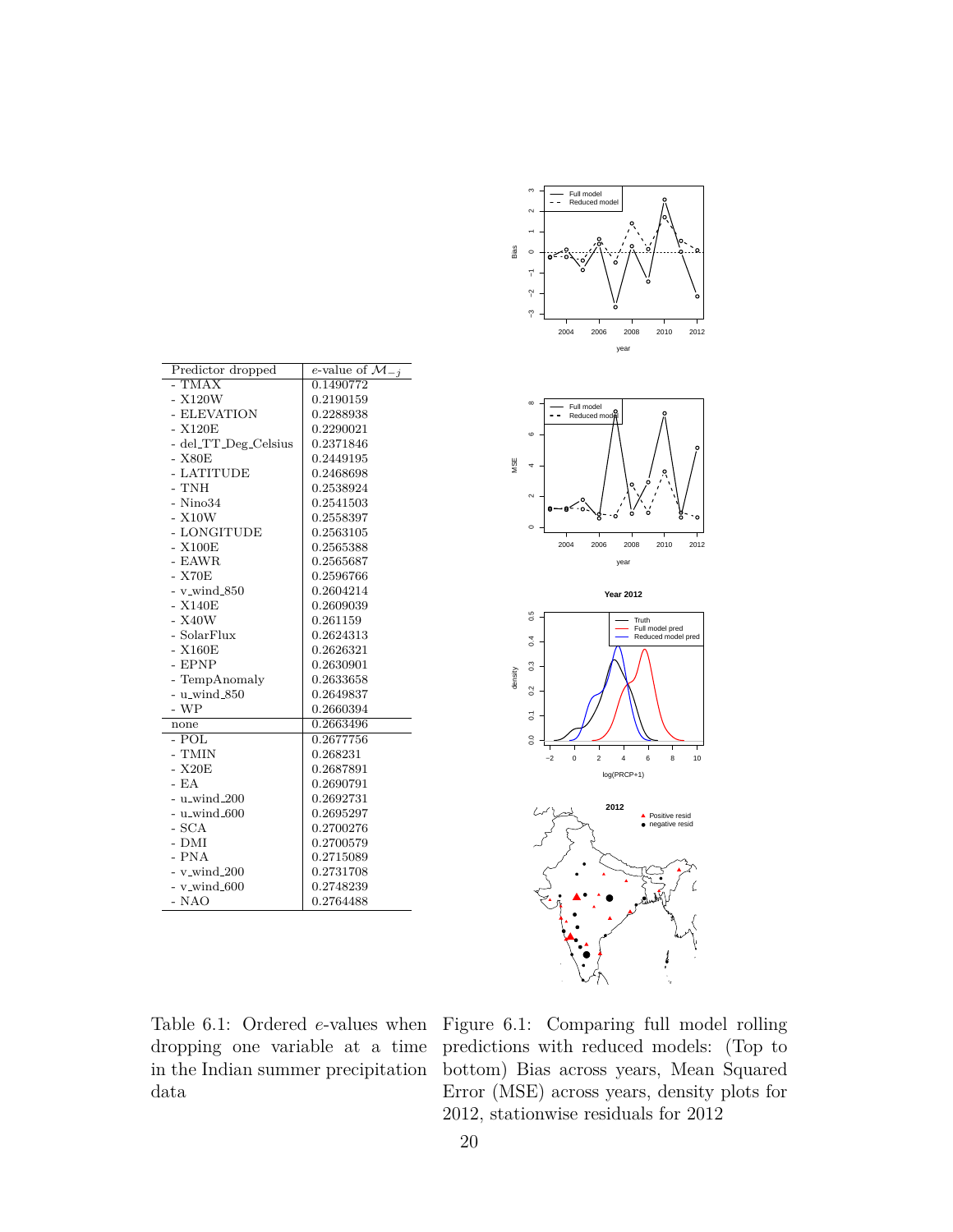| Predictor dropped    | e-value of $\mathcal{M}_{-i}$ |  |  |
|----------------------|-------------------------------|--|--|
| $-TMAX$              | 0.1490772                     |  |  |
|                      |                               |  |  |
| $- X120W$            | 0.2190159                     |  |  |
| - ELEVATION          | 0.2288938                     |  |  |
| $- X120E$            | 0.2290021                     |  |  |
| - del_TT_Deg_Celsius | 0.2371846                     |  |  |
| - X80E               | 0.2449195                     |  |  |
| - LATITUDE           | 0.2468698                     |  |  |
| - TNH                | 0.2538924                     |  |  |
| $-$ Nino $34$        | 0.2541503                     |  |  |
| $- X10W$             | 0.2558397                     |  |  |
| - LONGITUDE          | 0.2563105                     |  |  |
| $- X100E$            | 0.2565388                     |  |  |
| - EAWR               | 0.2565687                     |  |  |
| $-$ X70 $E$          | 0.2596766                     |  |  |
| $-$ v_wind_850       | 0.2604214                     |  |  |
| $- X140E$            | 0.2609039                     |  |  |
| $-$ X40W             | 0.261159                      |  |  |
| - SolarFlux          | 0.2624313                     |  |  |
| $- X160E$            | 0.2626321                     |  |  |
| - EPNP               | 0.2630901                     |  |  |
| - TempAnomaly        | 0.2633658                     |  |  |
| $-$ u_wind_850       | 0.2649837                     |  |  |
| $- WP$               | 0.2660394                     |  |  |
| none                 | 0.2663496                     |  |  |
| - POL                | 0.2677756                     |  |  |
| - TMIN               | 0.268231                      |  |  |
| - X20E               | 0.2687891                     |  |  |
| $-EA$                | 0.2690791                     |  |  |
| $-$ u_wind_200       | 0.2692731                     |  |  |
| $-$ u_wind_600       | 0.2695297                     |  |  |
| - SCA                | 0.2700276                     |  |  |
| - DMI                | 0.2700579                     |  |  |
| - PNA                | 0.2715089                     |  |  |
| $-$ v_wind_200       | 0.2731708                     |  |  |
| $-$ v_wind_600       | 0.2748239                     |  |  |
| - NAO                | 0.2764488                     |  |  |
|                      |                               |  |  |



<span id="page-19-0"></span>Table 6.1: Ordered *e*-values when dropping one variable at a time in the Indian summer precipitation data

<span id="page-19-1"></span>Figure 6.1: Comparing full model rolling predictions with reduced models: (Top to bottom) Bias across years, Mean Squared Error (MSE) across years, density plots for 2012, stationwise residuals for 2012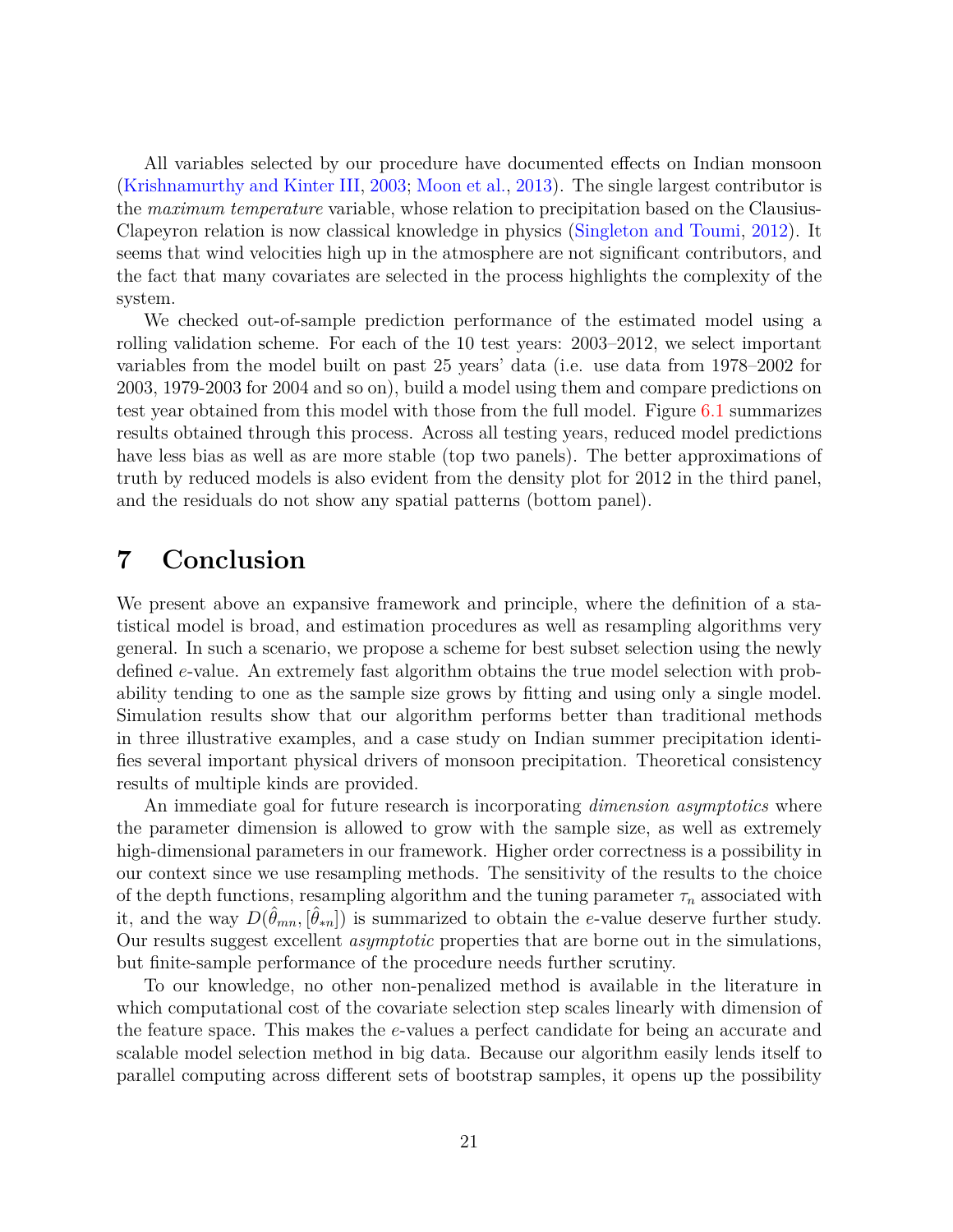All variables selected by our procedure have documented effects on Indian monsoon [\(Krishnamurthy and Kinter III,](#page-25-12) [2003;](#page-25-12) [Moon et al.,](#page-25-13) [2013\)](#page-25-13). The single largest contributor is the *maximum temperature* variable, whose relation to precipitation based on the Clausius-Clapeyron relation is now classical knowledge in physics [\(Singleton and Toumi,](#page-26-14) [2012\)](#page-26-14). It seems that wind velocities high up in the atmosphere are not significant contributors, and the fact that many covariates are selected in the process highlights the complexity of the system.

We checked out-of-sample prediction performance of the estimated model using a rolling validation scheme. For each of the 10 test years: 2003–2012, we select important variables from the model built on past 25 years' data (i.e. use data from 1978–2002 for 2003, 1979-2003 for 2004 and so on), build a model using them and compare predictions on test year obtained from this model with those from the full model. Figure [6.1](#page-19-1) summarizes results obtained through this process. Across all testing years, reduced model predictions have less bias as well as are more stable (top two panels). The better approximations of truth by reduced models is also evident from the density plot for 2012 in the third panel, and the residuals do not show any spatial patterns (bottom panel).

### <span id="page-20-0"></span>**7 Conclusion**

We present above an expansive framework and principle, where the definition of a statistical model is broad, and estimation procedures as well as resampling algorithms very general. In such a scenario, we propose a scheme for best subset selection using the newly defined *e*-value. An extremely fast algorithm obtains the true model selection with probability tending to one as the sample size grows by fitting and using only a single model. Simulation results show that our algorithm performs better than traditional methods in three illustrative examples, and a case study on Indian summer precipitation identifies several important physical drivers of monsoon precipitation. Theoretical consistency results of multiple kinds are provided.

An immediate goal for future research is incorporating *dimension asymptotics* where the parameter dimension is allowed to grow with the sample size, as well as extremely high-dimensional parameters in our framework. Higher order correctness is a possibility in our context since we use resampling methods. The sensitivity of the results to the choice of the depth functions, resampling algorithm and the tuning parameter  $\tau_n$  associated with it, and the way  $D(\hat{\theta}_{mn}, [\hat{\theta}_{*n}])$  is summarized to obtain the *e*-value deserve further study. Our results suggest excellent *asymptotic* properties that are borne out in the simulations, but finite-sample performance of the procedure needs further scrutiny.

To our knowledge, no other non-penalized method is available in the literature in which computational cost of the covariate selection step scales linearly with dimension of the feature space. This makes the *e*-values a perfect candidate for being an accurate and scalable model selection method in big data. Because our algorithm easily lends itself to parallel computing across different sets of bootstrap samples, it opens up the possibility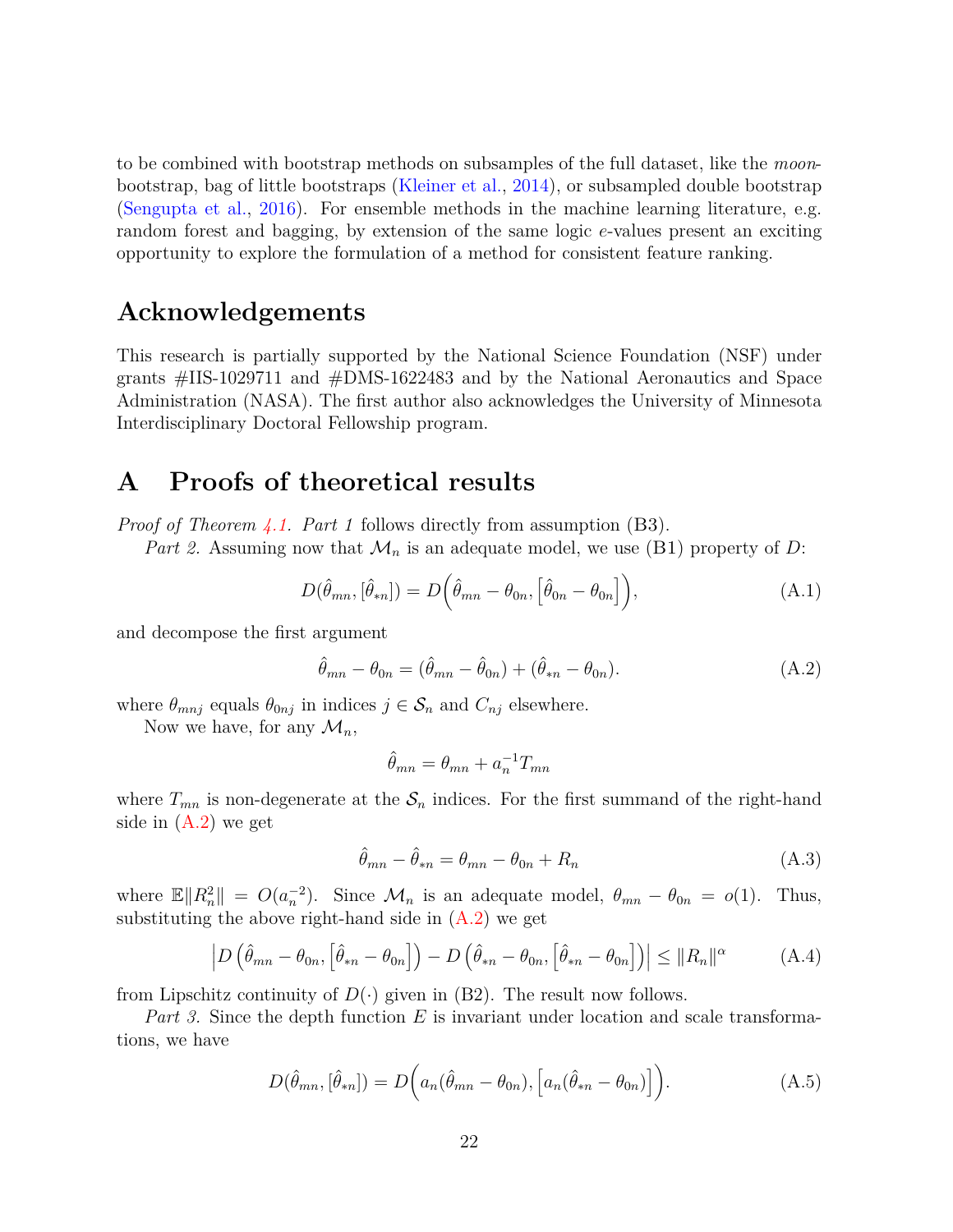to be combined with bootstrap methods on subsamples of the full dataset, like the *moon*bootstrap, bag of little bootstraps [\(Kleiner et al.,](#page-24-14) [2014\)](#page-24-14), or subsampled double bootstrap [\(Sengupta et al.,](#page-26-15) [2016\)](#page-26-15). For ensemble methods in the machine learning literature, e.g. random forest and bagging, by extension of the same logic *e*-values present an exciting opportunity to explore the formulation of a method for consistent feature ranking.

### **Acknowledgements**

This research is partially supported by the National Science Foundation (NSF) under grants #IIS-1029711 and #DMS-1622483 and by the National Aeronautics and Space Administration (NASA). The first author also acknowledges the University of Minnesota Interdisciplinary Doctoral Fellowship program.

### **A Proofs of theoretical results**

*Proof of Theorem [4.1.](#page-11-2) Part 1* follows directly from assumption (B3).

*Part 2.* Assuming now that  $\mathcal{M}_n$  is an adequate model, we use (B1) property of *D*:

$$
D(\hat{\theta}_{mn}, [\hat{\theta}_{*n}]) = D(\hat{\theta}_{mn} - \theta_{0n}, [\hat{\theta}_{0n} - \theta_{0n}]),
$$
\n(A.1)

and decompose the first argument

$$
\hat{\theta}_{mn} - \theta_{0n} = (\hat{\theta}_{mn} - \hat{\theta}_{0n}) + (\hat{\theta}_{*n} - \theta_{0n}).
$$
\n(A.2)

where  $\theta_{mnj}$  equals  $\theta_{0nj}$  in indices  $j \in \mathcal{S}_n$  and  $C_{nj}$  elsewhere.

Now we have, for any  $\mathcal{M}_n$ ,

<span id="page-21-1"></span><span id="page-21-0"></span>
$$
\hat{\theta}_{mn} = \theta_{mn} + a_n^{-1} T_{mn}
$$

where  $T_{mn}$  is non-degenerate at the  $S_n$  indices. For the first summand of the right-hand side in [\(A.2\)](#page-21-0) we get

$$
\hat{\theta}_{mn} - \hat{\theta}_{*n} = \theta_{mn} - \theta_{0n} + R_n \tag{A.3}
$$

where  $\mathbb{E} \|R_n^2\| = O(a_n^{-2})$ . Since  $\mathcal{M}_n$  is an adequate model,  $\theta_{mn} - \theta_{0n} = o(1)$ . Thus, substituting the above right-hand side in  $(A.2)$  we get

$$
\left| D\left(\hat{\theta}_{mn} - \theta_{0n}, \left[\hat{\theta}_{*n} - \theta_{0n}\right]\right) - D\left(\hat{\theta}_{*n} - \theta_{0n}, \left[\hat{\theta}_{*n} - \theta_{0n}\right]\right) \right| \leq \|R_n\|^{\alpha} \tag{A.4}
$$

from Lipschitz continuity of  $D(\cdot)$  given in (B2). The result now follows.

*Part 3.* Since the depth function *E* is invariant under location and scale transformations, we have

$$
D(\hat{\theta}_{mn}, [\hat{\theta}_{*n}]) = D\Big(a_n(\hat{\theta}_{mn} - \theta_{0n}), [a_n(\hat{\theta}_{*n} - \theta_{0n})]\Big).
$$
 (A.5)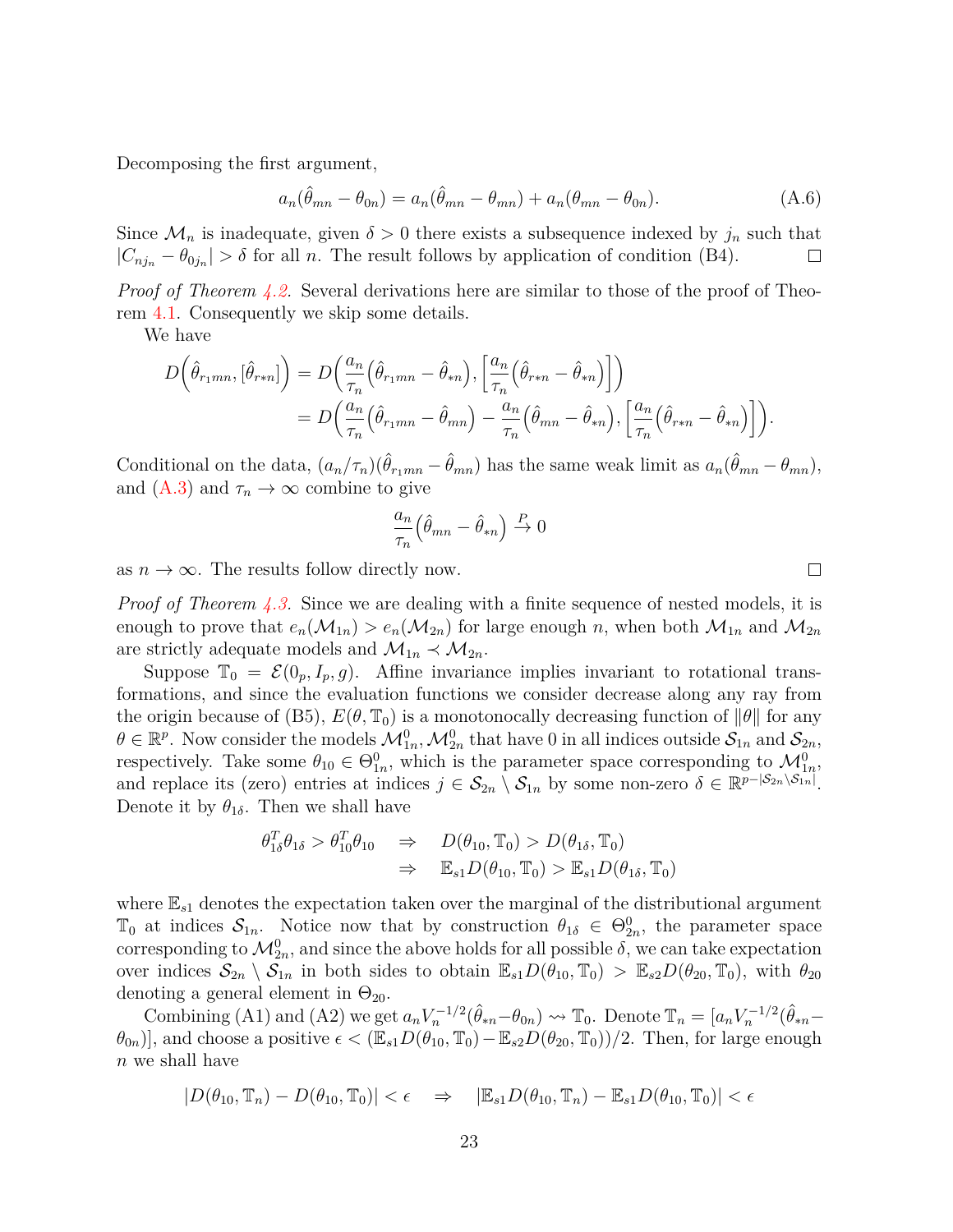Decomposing the first argument,

$$
a_n(\hat{\theta}_{mn} - \theta_{0n}) = a_n(\hat{\theta}_{mn} - \theta_{mn}) + a_n(\theta_{mn} - \theta_{0n}).
$$
\n(A.6)

Since  $\mathcal{M}_n$  is inadequate, given  $\delta > 0$  there exists a subsequence indexed by  $j_n$  such that  $|C_{nj_n} - \theta_{0j_n}| > \delta$  for all *n*. The result follows by application of condition (B4).  $\Box$ 

*Proof of Theorem [4.2.](#page-11-1)* Several derivations here are similar to those of the proof of Theorem [4.1.](#page-11-2) Consequently we skip some details.

We have

$$
D\left(\hat{\theta}_{r_1mn},\left[\hat{\theta}_{r*n}\right]\right) = D\left(\frac{a_n}{\tau_n}\left(\hat{\theta}_{r_1mn} - \hat{\theta}_{*n}\right), \left[\frac{a_n}{\tau_n}\left(\hat{\theta}_{r*n} - \hat{\theta}_{*n}\right)\right]\right)
$$
  
= 
$$
D\left(\frac{a_n}{\tau_n}\left(\hat{\theta}_{r_1mn} - \hat{\theta}_{mn}\right) - \frac{a_n}{\tau_n}\left(\hat{\theta}_{mn} - \hat{\theta}_{*n}\right), \left[\frac{a_n}{\tau_n}\left(\hat{\theta}_{r*n} - \hat{\theta}_{*n}\right)\right]\right).
$$

Conditional on the data,  $(a_n/\tau_n)(\hat{\theta}_{r_1mn} - \hat{\theta}_{mn})$  has the same weak limit as  $a_n(\hat{\theta}_{mn} - \theta_{mn})$ , and  $(A.3)$  and  $\tau_n \to \infty$  combine to give

$$
\frac{a_n}{\tau_n} \left( \hat{\theta}_{mn} - \hat{\theta}_{*n} \right) \stackrel{P}{\to} 0
$$

as  $n \to \infty$ . The results follow directly now.

*Proof of Theorem [4.3.](#page-12-0)* Since we are dealing with a finite sequence of nested models, it is enough to prove that  $e_n(M_{1n}) > e_n(M_{2n})$  for large enough *n*, when both  $M_{1n}$  and  $M_{2n}$ are strictly adequate models and  $\mathcal{M}_{1n} \prec \mathcal{M}_{2n}$ .

Suppose  $\mathbb{T}_0 = \mathcal{E}(0_p, I_p, g)$ . Affine invariance implies invariant to rotational transformations, and since the evaluation functions we consider decrease along any ray from the origin because of (B5),  $E(\theta, \mathbb{T}_0)$  is a monotonocally decreasing function of  $\|\theta\|$  for any  $\theta \in \mathbb{R}^p$ . Now consider the models  $\mathcal{M}_{1n}^0$ ,  $\mathcal{M}_{2n}^0$  that have 0 in all indices outside  $\mathcal{S}_{1n}$  and  $\mathcal{S}_{2n}$ , respectively. Take some  $\theta_{10} \in \Theta_{1n}^0$ , which is the parameter space corresponding to  $\mathcal{M}_{1n}^0$ , and replace its (zero) entries at indices  $j \in S_{2n} \setminus S_{1n}$  by some non-zero  $\delta \in \mathbb{R}^{p-|S_{2n} \setminus S_{1n}|}$ . Denote it by  $\theta_{1\delta}$ . Then we shall have

$$
\theta_{1\delta}^T \theta_{1\delta} > \theta_{10}^T \theta_{10} \Rightarrow D(\theta_{10}, \mathbb{T}_0) > D(\theta_{1\delta}, \mathbb{T}_0)
$$
  

$$
\Rightarrow \mathbb{E}_{s1} D(\theta_{10}, \mathbb{T}_0) > \mathbb{E}_{s1} D(\theta_{1\delta}, \mathbb{T}_0)
$$

where  $\mathbb{E}_{s1}$  denotes the expectation taken over the marginal of the distributional argument T<sub>0</sub> at indices  $S_{1n}$ . Notice now that by construction  $\theta_{1\delta} \in \Theta_{2n}^0$ , the parameter space corresponding to  $\mathcal{M}_{2n}^0$ , and since the above holds for all possible  $\delta$ , we can take expectation over indices  $S_{2n} \setminus S_{1n}$  in both sides to obtain  $\mathbb{E}_{s1}D(\theta_{10}, \mathbb{T}_0) > \mathbb{E}_{s2}D(\theta_{20}, \mathbb{T}_0)$ , with  $\theta_{20}$ denoting a general element in  $\Theta_{20}$ .

Combining (A1) and (A2) we get  $a_n V_n^{-1/2} (\hat{\theta}_{*n} - \theta_{0n}) \leadsto \mathbb{T}_0$ . Denote  $\mathbb{T}_n = [a_n V_n^{-1/2} (\hat{\theta}_{*n} - \theta_{0n})]$  $(\theta_{0n})$ , and choose a positive  $\epsilon < (\mathbb{E}_{s1}D(\theta_{10}, \mathbb{T}_0) - \mathbb{E}_{s2}D(\theta_{20}, \mathbb{T}_0))/2$ . Then, for large enough *n* we shall have

$$
|D(\theta_{10}, \mathbb{T}_n) - D(\theta_{10}, \mathbb{T}_0)| < \epsilon \quad \Rightarrow \quad |\mathbb{E}_{s1} D(\theta_{10}, \mathbb{T}_n) - \mathbb{E}_{s1} D(\theta_{10}, \mathbb{T}_0)| < \epsilon
$$

 $\Box$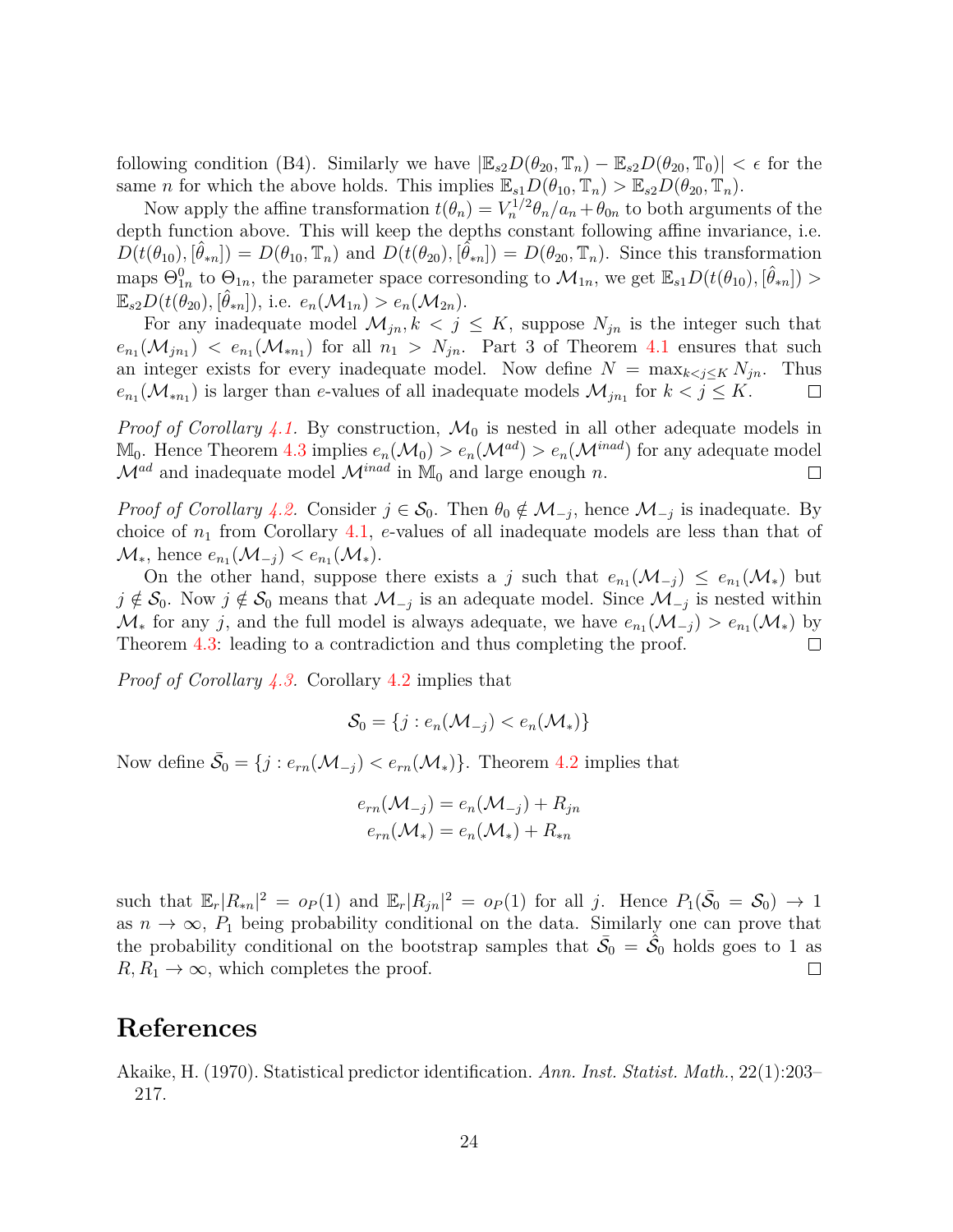following condition (B4). Similarly we have  $|\mathbb{E}_{s2}D(\theta_{20}, \mathbb{T}_n) - \mathbb{E}_{s2}D(\theta_{20}, \mathbb{T}_0)| < \epsilon$  for the same *n* for which the above holds. This implies  $\mathbb{E}_{s1}D(\theta_{10}, \mathbb{T}_n) > \mathbb{E}_{s2}D(\theta_{20}, \mathbb{T}_n)$ .

Now apply the affine transformation  $t(\theta_n) = V_n^{1/2} \theta_n / a_n + \theta_{0n}$  to both arguments of the depth function above. This will keep the depths constant following affine invariance, i.e.  $D(t(\theta_{10}), [\hat{\theta}_{*n}]) = D(\theta_{10}, \mathbb{T}_n)$  and  $D(t(\theta_{20}), [\hat{\theta}_{*n}]) = D(\theta_{20}, \mathbb{T}_n)$ . Since this transformation maps  $\Theta_{1n}^0$  to  $\Theta_{1n}$ , the parameter space corresonding to  $\mathcal{M}_{1n}$ , we get  $\mathbb{E}_{s1}D(t(\theta_{10}), [\hat{\theta}_{*n}]) >$  $\mathbb{E}_{s2}D(t(\hat{\theta}_{20}), [\hat{\theta}_{*n}]),$  i.e.  $e_n(\mathcal{M}_{1n}) > e_n(\mathcal{M}_{2n}).$ 

For any inadequate model  $\mathcal{M}_{jn}$ ,  $k < j \leq K$ , suppose  $N_{jn}$  is the integer such that  $e_{n_1}(\mathcal{M}_{jn_1}) \leq e_{n_1}(\mathcal{M}_{*n_1})$  for all  $n_1 > N_{jn}$ . Part 3 of Theorem [4.1](#page-11-2) ensures that such an integer exists for every inadequate model. Now define  $N = \max_{k \leq j \leq K} N_{jn}$ . Thus  $e_{n_1}(\mathcal{M}_{*n_1})$  is larger than *e*-values of all inadequate models  $\mathcal{M}_{jn_1}$  for  $k < j \leq K$ .  $\Box$ 

*Proof of Corollary* [4.1.](#page-12-1) By construction,  $\mathcal{M}_0$  is nested in all other adequate models in  $M_0$ . Hence Theorem [4.3](#page-12-0) implies  $e_n(\mathcal{M}_0) > e_n(\mathcal{M}^{ad}) > e_n(\mathcal{M}^{inad})$  for any adequate model  $\mathcal{M}^{ad}$  and inadequate model  $\mathcal{M}^{inad}$  in  $\mathbb{M}_0$  and large enough *n*.  $\Box$ 

*Proof of Corollary* [4.2.](#page-12-3) Consider  $j \in S_0$ . Then  $\theta_0 \notin M_{-j}$ , hence  $M_{-j}$  is inadequate. By choice of *n*<sup>1</sup> from Corollary [4.1,](#page-12-1) *e*-values of all inadequate models are less than that of  $\mathcal{M}_{*}$ , hence  $e_{n_1}(\mathcal{M}_{-j}) < e_{n_1}(\mathcal{M}_{*})$ .

On the other hand, suppose there exists a *j* such that  $e_{n_1}(\mathcal{M}_{-j}) \leq e_{n_1}(\mathcal{M}_{*})$  but *j* ∉  $S_0$ . Now *j* ∉  $S_0$  means that  $\mathcal{M}_{-j}$  is an adequate model. Since  $\mathcal{M}_{-j}$  is nested within  $\mathcal{M}_*$  for any *j*, and the full model is always adequate, we have  $e_{n_1}(\mathcal{M}_{-j}) > e_{n_1}(\mathcal{M}_*)$  by Theorem [4.3:](#page-12-0) leading to a contradiction and thus completing the proof.  $\Box$ 

*Proof of Corollary [4.3.](#page-13-3)* Corollary [4.2](#page-12-3) implies that

$$
\mathcal{S}_0 = \{j : e_n(\mathcal{M}_{-j}) < e_n(\mathcal{M}_*)\}
$$

Now define  $\bar{S}_0 = \{j : e_{rn}(\mathcal{M}_{-j}) < e_{rn}(\mathcal{M}_*)\}$ . Theorem [4.2](#page-11-1) implies that

$$
e_{rn}(\mathcal{M}_{-j}) = e_n(\mathcal{M}_{-j}) + R_{jn}
$$

$$
e_{rn}(\mathcal{M}_*) = e_n(\mathcal{M}_*) + R_{*n}
$$

such that  $\mathbb{E}_r |R_{*n}|^2 = o_P(1)$  and  $\mathbb{E}_r |R_{jn}|^2 = o_P(1)$  for all *j*. Hence  $P_1(\bar{S}_0 = S_0) \to 1$ as  $n \to \infty$ ,  $P_1$  being probability conditional on the data. Similarly one can prove that the probability conditional on the bootstrap samples that  $\bar{S}_0 = \dot{\tilde{S}}_0$  holds goes to 1 as  $R, R_1 \rightarrow \infty$ , which completes the proof.  $\Box$ 

## **References**

<span id="page-23-0"></span>Akaike, H. (1970). Statistical predictor identification. *Ann. Inst. Statist. Math.*, 22(1):203– 217.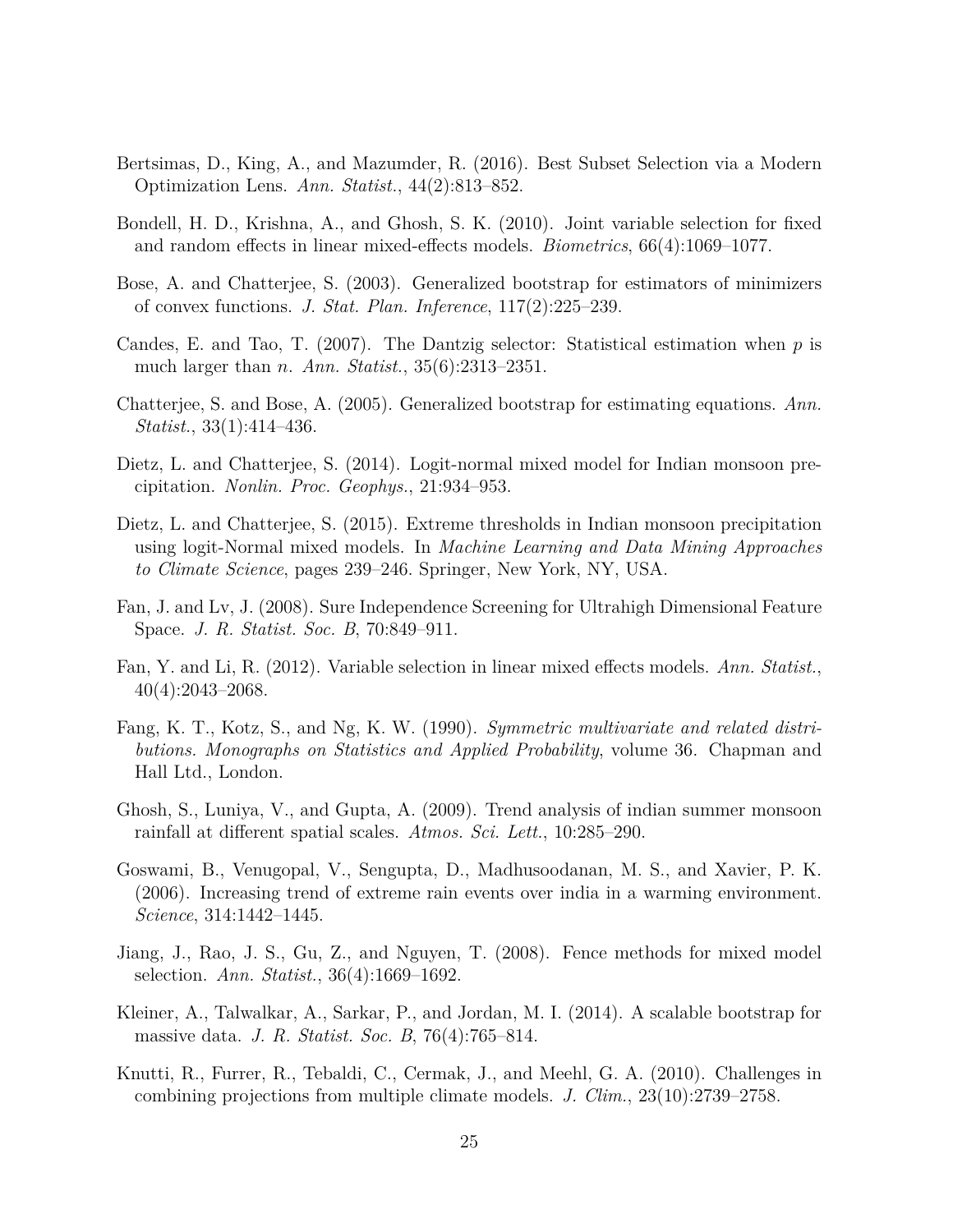- <span id="page-24-0"></span>Bertsimas, D., King, A., and Mazumder, R. (2016). Best Subset Selection via a Modern Optimization Lens. *Ann. Statist.*, 44(2):813–852.
- <span id="page-24-7"></span>Bondell, H. D., Krishna, A., and Ghosh, S. K. (2010). Joint variable selection for fixed and random effects in linear mixed-effects models. *Biometrics*, 66(4):1069–1077.
- <span id="page-24-2"></span>Bose, A. and Chatterjee, S. (2003). Generalized bootstrap for estimators of minimizers of convex functions. *J. Stat. Plan. Inference*, 117(2):225–239.
- <span id="page-24-6"></span>Candes, E. and Tao, T. (2007). The Dantzig selector: Statistical estimation when *p* is much larger than *n*. *Ann. Statist.*, 35(6):2313–2351.
- <span id="page-24-4"></span>Chatterjee, S. and Bose, A. (2005). Generalized bootstrap for estimating equations. *Ann. Statist.*, 33(1):414–436.
- <span id="page-24-12"></span>Dietz, L. and Chatterjee, S. (2014). Logit-normal mixed model for Indian monsoon precipitation. *Nonlin. Proc. Geophys.*, 21:934–953.
- <span id="page-24-13"></span>Dietz, L. and Chatterjee, S. (2015). Extreme thresholds in Indian monsoon precipitation using logit-Normal mixed models. In *Machine Learning and Data Mining Approaches to Climate Science*, pages 239–246. Springer, New York, NY, USA.
- <span id="page-24-5"></span>Fan, J. and Lv, J. (2008). Sure Independence Screening for Ultrahigh Dimensional Feature Space. *J. R. Statist. Soc. B*, 70:849–911.
- <span id="page-24-8"></span>Fan, Y. and Li, R. (2012). Variable selection in linear mixed effects models. *Ann. Statist.*, 40(4):2043–2068.
- <span id="page-24-3"></span>Fang, K. T., Kotz, S., and Ng, K. W. (1990). *Symmetric multivariate and related distributions. Monographs on Statistics and Applied Probability*, volume 36. Chapman and Hall Ltd., London.
- <span id="page-24-11"></span>Ghosh, S., Luniya, V., and Gupta, A. (2009). Trend analysis of indian summer monsoon rainfall at different spatial scales. *Atmos. Sci. Lett.*, 10:285–290.
- <span id="page-24-10"></span>Goswami, B., Venugopal, V., Sengupta, D., Madhusoodanan, M. S., and Xavier, P. K. (2006). Increasing trend of extreme rain events over india in a warming environment. *Science*, 314:1442–1445.
- <span id="page-24-1"></span>Jiang, J., Rao, J. S., Gu, Z., and Nguyen, T. (2008). Fence methods for mixed model selection. *Ann. Statist.*, 36(4):1669–1692.
- <span id="page-24-14"></span>Kleiner, A., Talwalkar, A., Sarkar, P., and Jordan, M. I. (2014). A scalable bootstrap for massive data. *J. R. Statist. Soc. B*, 76(4):765–814.
- <span id="page-24-9"></span>Knutti, R., Furrer, R., Tebaldi, C., Cermak, J., and Meehl, G. A. (2010). Challenges in combining projections from multiple climate models. *J. Clim.*, 23(10):2739–2758.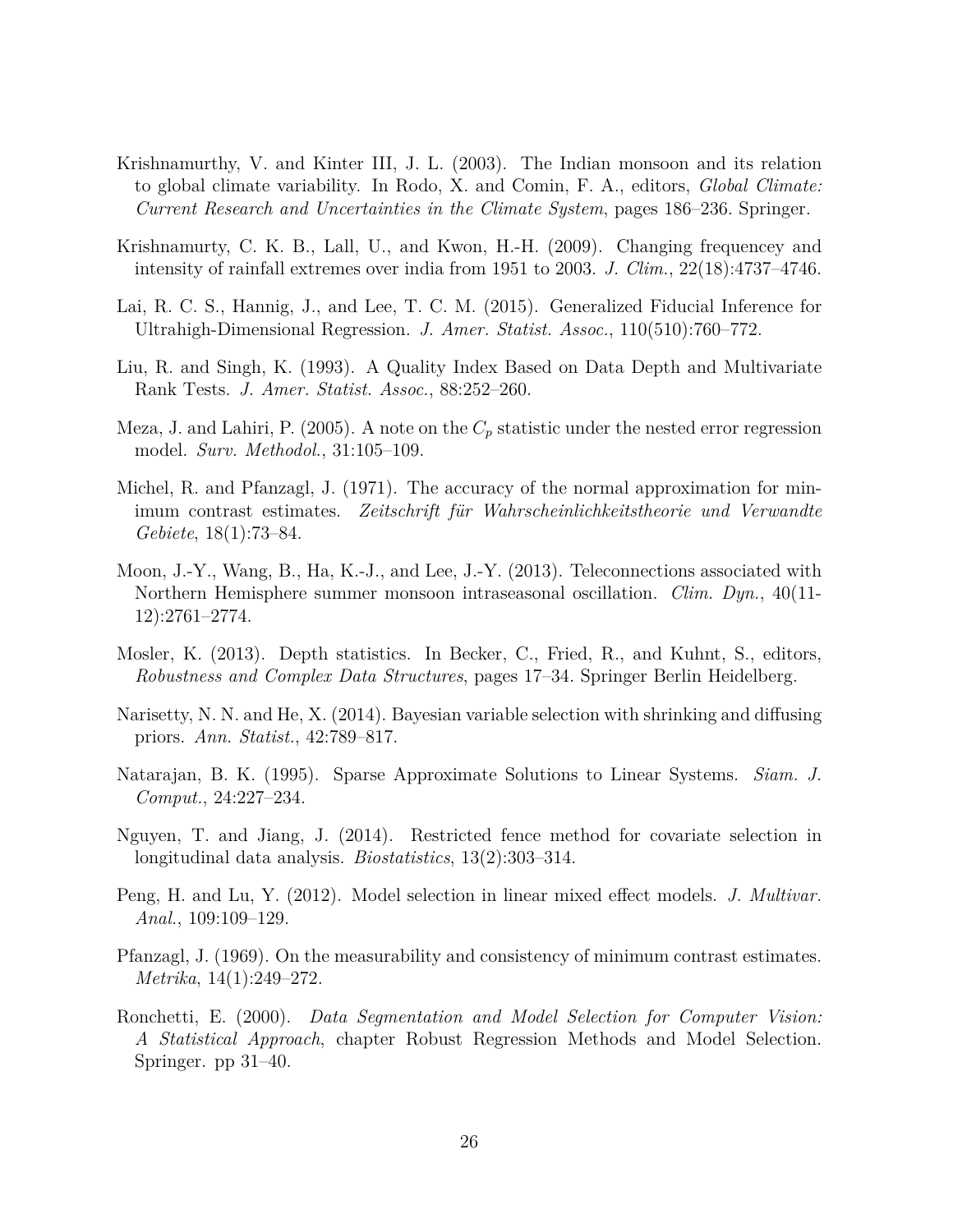- <span id="page-25-12"></span>Krishnamurthy, V. and Kinter III, J. L. (2003). The Indian monsoon and its relation to global climate variability. In Rodo, X. and Comin, F. A., editors, *Global Climate: Current Research and Uncertainties in the Climate System*, pages 186–236. Springer.
- <span id="page-25-11"></span>Krishnamurty, C. K. B., Lall, U., and Kwon, H.-H. (2009). Changing frequencey and intensity of rainfall extremes over india from 1951 to 2003. *J. Clim.*, 22(18):4737–4746.
- <span id="page-25-0"></span>Lai, R. C. S., Hannig, J., and Lee, T. C. M. (2015). Generalized Fiducial Inference for Ultrahigh-Dimensional Regression. *J. Amer. Statist. Assoc.*, 110(510):760–772.
- <span id="page-25-5"></span>Liu, R. and Singh, K. (1993). A Quality Index Based on Data Depth and Multivariate Rank Tests. *J. Amer. Statist. Assoc.*, 88:252–260.
- <span id="page-25-3"></span>Meza, J. and Lahiri, P. (2005). A note on the  $C_p$  statistic under the nested error regression model. *Surv. Methodol.*, 31:105–109.
- <span id="page-25-6"></span>Michel, R. and Pfanzagl, J. (1971). The accuracy of the normal approximation for minimum contrast estimates. Zeitschrift für Wahrscheinlichkeitstheorie und Verwandte *Gebiete*, 18(1):73–84.
- <span id="page-25-13"></span>Moon, J.-Y., Wang, B., Ha, K.-J., and Lee, J.-Y. (2013). Teleconnections associated with Northern Hemisphere summer monsoon intraseasonal oscillation. *Clim. Dyn.*, 40(11- 12):2761–2774.
- <span id="page-25-9"></span>Mosler, K. (2013). Depth statistics. In Becker, C., Fried, R., and Kuhnt, S., editors, *Robustness and Complex Data Structures*, pages 17–34. Springer Berlin Heidelberg.
- <span id="page-25-8"></span>Narisetty, N. N. and He, X. (2014). Bayesian variable selection with shrinking and diffusing priors. *Ann. Statist.*, 42:789–817.
- <span id="page-25-1"></span>Natarajan, B. K. (1995). Sparse Approximate Solutions to Linear Systems. *Siam. J. Comput.*, 24:227–234.
- <span id="page-25-2"></span>Nguyen, T. and Jiang, J. (2014). Restricted fence method for covariate selection in longitudinal data analysis. *Biostatistics*, 13(2):303–314.
- <span id="page-25-10"></span>Peng, H. and Lu, Y. (2012). Model selection in linear mixed effect models. *J. Multivar. Anal.*, 109:109–129.
- <span id="page-25-7"></span>Pfanzagl, J. (1969). On the measurability and consistency of minimum contrast estimates. *Metrika*, 14(1):249–272.
- <span id="page-25-4"></span>Ronchetti, E. (2000). *Data Segmentation and Model Selection for Computer Vision: A Statistical Approach*, chapter Robust Regression Methods and Model Selection. Springer. pp 31–40.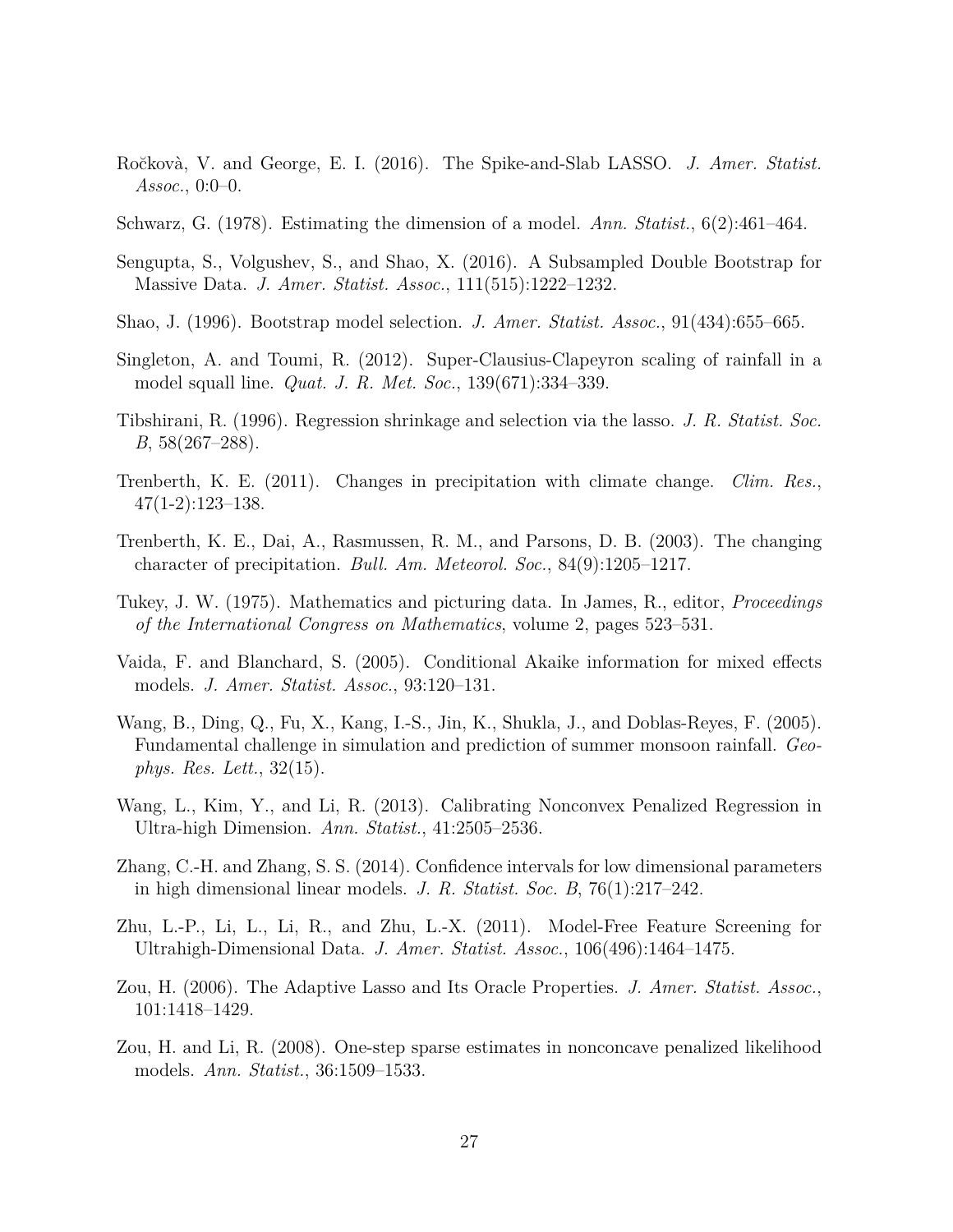- <span id="page-26-9"></span>Ro˘ckov`a, V. and George, E. I. (2016). The Spike-and-Slab LASSO. *J. Amer. Statist. Assoc.*, 0:0–0.
- <span id="page-26-0"></span>Schwarz, G. (1978). Estimating the dimension of a model. *Ann. Statist.*, 6(2):461–464.
- <span id="page-26-15"></span>Sengupta, S., Volgushev, S., and Shao, X. (2016). A Subsampled Double Bootstrap for Massive Data. *J. Amer. Statist. Assoc.*, 111(515):1222–1232.
- <span id="page-26-1"></span>Shao, J. (1996). Bootstrap model selection. *J. Amer. Statist. Assoc.*, 91(434):655–665.
- <span id="page-26-14"></span>Singleton, A. and Toumi, R. (2012). Super-Clausius-Clapeyron scaling of rainfall in a model squall line. *Quat. J. R. Met. Soc.*, 139(671):334–339.
- <span id="page-26-2"></span>Tibshirani, R. (1996). Regression shrinkage and selection via the lasso. *J. R. Statist. Soc. B*, 58(267–288).
- <span id="page-26-11"></span>Trenberth, K. E. (2011). Changes in precipitation with climate change. *Clim. Res.*,  $47(1-2):123-138.$
- <span id="page-26-12"></span>Trenberth, K. E., Dai, A., Rasmussen, R. M., and Parsons, D. B. (2003). The changing character of precipitation. *Bull. Am. Meteorol. Soc.*, 84(9):1205–1217.
- <span id="page-26-8"></span>Tukey, J. W. (1975). Mathematics and picturing data. In James, R., editor, *Proceedings of the International Congress on Mathematics*, volume 2, pages 523–531.
- <span id="page-26-7"></span>Vaida, F. and Blanchard, S. (2005). Conditional Akaike information for mixed effects models. *J. Amer. Statist. Assoc.*, 93:120–131.
- <span id="page-26-13"></span>Wang, B., Ding, Q., Fu, X., Kang, I.-S., Jin, K., Shukla, J., and Doblas-Reyes, F. (2005). Fundamental challenge in simulation and prediction of summer monsoon rainfall. *Geophys. Res. Lett.*, 32(15).
- <span id="page-26-5"></span>Wang, L., Kim, Y., and Li, R. (2013). Calibrating Nonconvex Penalized Regression in Ultra-high Dimension. *Ann. Statist.*, 41:2505–2536.
- <span id="page-26-4"></span>Zhang, C.-H. and Zhang, S. S. (2014). Confidence intervals for low dimensional parameters in high dimensional linear models. *J. R. Statist. Soc. B*, 76(1):217–242.
- <span id="page-26-10"></span>Zhu, L.-P., Li, L., Li, R., and Zhu, L.-X. (2011). Model-Free Feature Screening for Ultrahigh-Dimensional Data. *J. Amer. Statist. Assoc.*, 106(496):1464–1475.
- <span id="page-26-3"></span>Zou, H. (2006). The Adaptive Lasso and Its Oracle Properties. *J. Amer. Statist. Assoc.*, 101:1418–1429.
- <span id="page-26-6"></span>Zou, H. and Li, R. (2008). One-step sparse estimates in nonconcave penalized likelihood models. *Ann. Statist.*, 36:1509–1533.